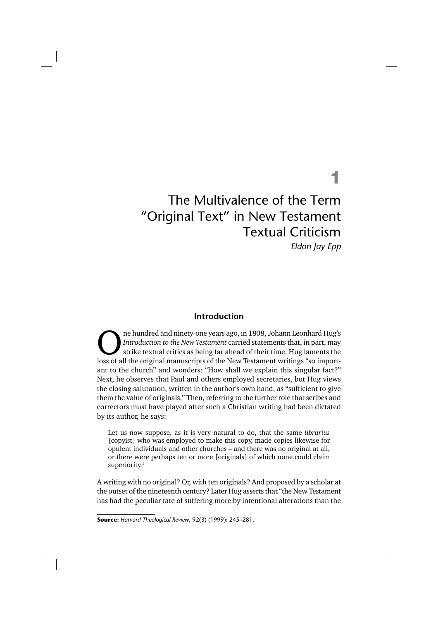# The Multivalence of the Term "Original Text" in New Testament Textual Criticism *Eldon Jay Epp*

**1**

# **Introduction**

ne hundred and ninety-one years ago, in 1808, Johann Leonhard Hug's *Introduction to the New Testament* carried statements that, in part, may strike textual critics as being far ahead of their time. Hug laments the loss of all the original manuscripts of the New Testament writings "so important to the church" and wonders: "How shall we explain this singular fact?" Next, he observes that Paul and others employed secretaries, but Hug views the closing salutation, written in the author's own hand, as "sufficient to give them the value of originals." Then, referring to the further role that scribes and correctors must have played after such a Christian writing had been dictated by its author, he says:

Let us now suppose, as it is very natural to do, that the same *librarius* [copyist] who was employed to make this copy, made copies likewise for opulent individuals and other churches – and there was no original at all, or there were perhaps ten or more [originals] of which none could claim superiority.<sup>1</sup>

A writing with no original? Or, with ten originals? And proposed by a scholar at the outset of the nineteenth century? Later Hug asserts that "the New Testament has had the peculiar fate of suffering more by intentional alterations than the

**Source:** *Harvard Theological Review*, 92(3) (1999): 245–281.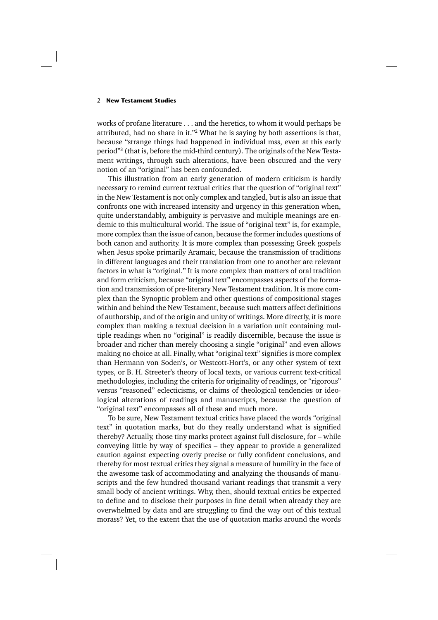works of profane literature . . . and the heretics, to whom it would perhaps be attributed, had no share in it."2 What he is saying by both assertions is that, because "strange things had happened in individual mss, even at this early period"<sup>3</sup> (that is, before the mid-third century). The originals of the New Testament writings, through such alterations, have been obscured and the very notion of an "original" has been confounded.

This illustration from an early generation of modern criticism is hardly necessary to remind current textual critics that the question of "original text" in the New Testament is not only complex and tangled, but is also an issue that confronts one with increased intensity and urgency in this generation when, quite understandably, ambiguity is pervasive and multiple meanings are endemic to this multicultural world. The issue of "original text" is, for example, more complex than the issue of canon, because the former includes questions of both canon and authority. It is more complex than possessing Greek gospels when Jesus spoke primarily Aramaic, because the transmission of traditions in different languages and their translation from one to another are relevant factors in what is "original." It is more complex than matters of oral tradition and form criticism, because "original text" encompasses aspects of the formation and transmission of pre-literary New Testament tradition. It is more complex than the Synoptic problem and other questions of compositional stages within and behind the New Testament, because such matters affect definitions of authorship, and of the origin and unity of writings. More directly, it is more complex than making a textual decision in a variation unit containing multiple readings when no "original" is readily discernible, because the issue is broader and richer than merely choosing a single "original" and even allows making no choice at all. Finally, what "original text" signifies is more complex than Hermann von Soden's, or Westcott-Hort's, or any other system of text types, or B. H. Streeter's theory of local texts, or various current text-critical methodologies, including the criteria for originality of readings, or "rigorous" versus "reasoned" eclecticisms, or claims of theological tendencies or ideological alterations of readings and manuscripts, because the question of "original text" encompasses all of these and much more.

To be sure, New Testament textual critics have placed the words "original text" in quotation marks, but do they really understand what is signified thereby? Actually, those tiny marks protect against full disclosure, for – while conveying little by way of specifics – they appear to provide a generalized caution against expecting overly precise or fully confident conclusions, and thereby for most textual critics they signal a measure of humility in the face of the awesome task of accommodating and analyzing the thousands of manuscripts and the few hundred thousand variant readings that transmit a very small body of ancient writings. Why, then, should textual critics be expected to define and to disclose their purposes in fine detail when already they are overwhelmed by data and are struggling to find the way out of this textual morass? Yet, to the extent that the use of quotation marks around the words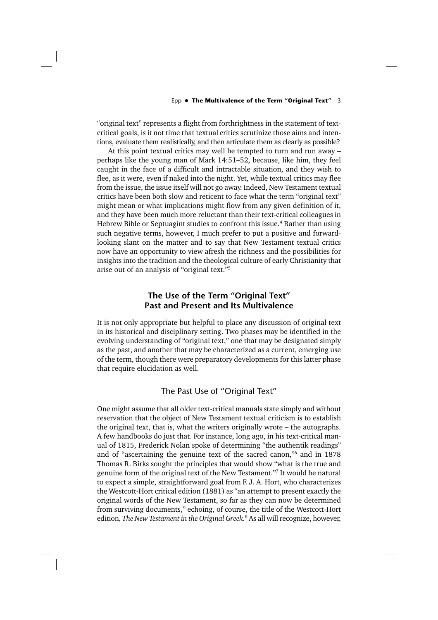"original text" represents a flight from forthrightness in the statement of textcritical goals, is it not time that textual critics scrutinize those aims and intentions, evaluate them realistically, and then articulate them as clearly as possible?

At this point textual critics may well be tempted to turn and run away – perhaps like the young man of Mark 14:51–52, because, like him, they feel caught in the face of a difficult and intractable situation, and they wish to flee, as it were, even if naked into the night. Yet, while textual critics may flee from the issue, the issue itself will not go away. Indeed, New Testament textual critics have been both slow and reticent to face what the term "original text" might mean or what implications might flow from any given definition of it, and they have been much more reluctant than their text-critical colleagues in Hebrew Bible or Septuagint studies to confront this issue.<sup>4</sup> Rather than using such negative terms, however, I much prefer to put a positive and forwardlooking slant on the matter and to say that New Testament textual critics now have an opportunity to view afresh the richness and the possibilities for insights into the tradition and the theological culture of early Christianity that arise out of an analysis of "original text."5

# **The Use of the Term "Original Text" Past and Present and Its Multivalence**

It is not only appropriate but helpful to place any discussion of original text in its historical and disciplinary setting. Two phases may be identified in the evolving understanding of "original text," one that may be designated simply as the past, and another that may be characterized as a current, emerging use of the term, though there were preparatory developments for this latter phase that require elucidation as well.

# The Past Use of "Original Text"

One might assume that all older text-critical manuals state simply and without reservation that the object of New Testament textual criticism is to establish the original text, that is, what the writers originally wrote – the autographs. A few handbooks do just that. For instance, long ago, in his text-critical manual of 1815, Frederick Nolan spoke of determining "the authentik readings" and of "ascertaining the genuine text of the sacred canon,"6 and in 1878 Thomas R. Birks sought the principles that would show "what is the true and genuine form of the original text of the New Testament."7 It would be natural to expect a simple, straightforward goal from F. J. A. Hort, who characterizes the Westcott-Hort critical edition (1881) as "an attempt to present exactly the original words of the New Testament, so far as they can now be determined from surviving documents," echoing, of course, the title of the Westcott-Hort edition, *The New Testament in the Original Greek*.<sup>8</sup> As all will recognize, however,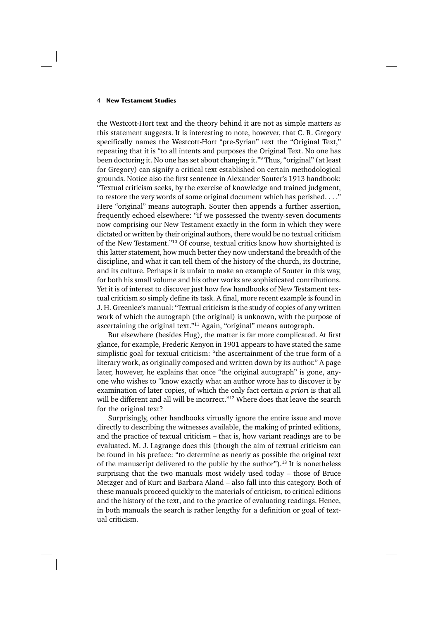the Westcott-Hort text and the theory behind it are not as simple matters as this statement suggests. It is interesting to note, however, that C. R. Gregory specifically names the Westcott-Hort "pre-Syrian" text the "Original Text," repeating that it is "to all intents and purposes the Original Text. No one has been doctoring it. No one has set about changing it."9 Thus, "original" (at least for Gregory) can signify a critical text established on certain methodological grounds. Notice also the first sentence in Alexander Souter's 1913 handbook: "Textual criticism seeks, by the exercise of knowledge and trained judgment, to restore the very words of some original document which has perished. . . ." Here "original" means autograph. Souter then appends a further assertion, frequently echoed elsewhere: "If we possessed the twenty-seven documents now comprising our New Testament exactly in the form in which they were dictated or written by their original authors, there would be no textual criticism of the New Testament."10 Of course, textual critics know how shortsighted is this latter statement, how much better they now understand the breadth of the discipline, and what it can tell them of the history of the church, its doctrine, and its culture. Perhaps it is unfair to make an example of Souter in this way, for both his small volume and his other works are sophisticated contributions. Yet it is of interest to discover just how few handbooks of New Testament textual criticism so simply define its task. A final, more recent example is found in J. H. Greenlee's manual: "Textual criticism is the study of copies of any written work of which the autograph (the original) is unknown, with the purpose of ascertaining the original text."11 Again, "original" means autograph.

But elsewhere (besides Hug), the matter is far more complicated. At first glance, for example, Frederic Kenyon in 1901 appears to have stated the same simplistic goal for textual criticism: "the ascertainment of the true form of a literary work, as originally composed and written down by its author." A page later, however, he explains that once "the original autograph" is gone, anyone who wishes to "know exactly what an author wrote has to discover it by examination of later copies, of which the only fact certain *a priori* is that all will be different and all will be incorrect."<sup>12</sup> Where does that leave the search for the original text?

Surprisingly, other handbooks virtually ignore the entire issue and move directly to describing the witnesses available, the making of printed editions, and the practice of textual criticism – that is, how variant readings are to be evaluated. M. J. Lagrange does this (though the aim of textual criticism can be found in his preface: "to determine as nearly as possible the original text of the manuscript delivered to the public by the author").<sup>13</sup> It is nonetheless surprising that the two manuals most widely used today – those of Bruce Metzger and of Kurt and Barbara Aland – also fall into this category. Both of these manuals proceed quickly to the materials of criticism, to critical editions and the history of the text, and to the practice of evaluating readings. Hence, in both manuals the search is rather lengthy for a definition or goal of textual criticism.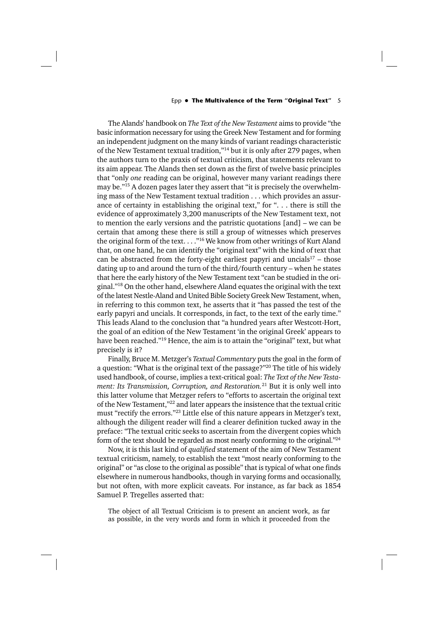The Alands' handbook on *The Text of the New Testament* aims to provide "the basic information necessary for using the Greek New Testament and for forming an independent judgment on the many kinds of variant readings characteristic of the New Testament textual tradition,"14 but it is only after 279 pages, when the authors turn to the praxis of textual criticism, that statements relevant to its aim appear. The Alands then set down as the first of twelve basic principles that "only *one* reading can be original, however many variant readings there may be."15 A dozen pages later they assert that "it is precisely the overwhelming mass of the New Testament textual tradition . . . which provides an assurance of certainty in establishing the original text," for ". . . there is still the evidence of approximately 3,200 manuscripts of the New Testament text, not to mention the early versions and the patristic quotations [and] – we can be certain that among these there is still a group of witnesses which preserves the original form of the text. . . ."16 We know from other writings of Kurt Aland that, on one hand, he can identify the "original text" with the kind of text that can be abstracted from the forty-eight earliest papyri and uncials<sup>17</sup> – those dating up to and around the turn of the third/fourth century – when he states that here the early history of the New Testament text "can be studied in the original."18 On the other hand, elsewhere Aland equates the original with the text of the latest Nestle-Aland and United Bible Society Greek New Testament, when, in referring to this common text, he asserts that it "has passed the test of the early papyri and uncials. It corresponds, in fact, to the text of the early time." This leads Aland to the conclusion that "a hundred years after Westcott-Hort, the goal of an edition of the New Testament 'in the original Greek' appears to have been reached."<sup>19</sup> Hence, the aim is to attain the "original" text, but what precisely is it?

Finally, Bruce M. Metzger's *Textual Commentary* puts the goal in the form of a question: "What is the original text of the passage?"20 The title of his widely used handbook, of course, implies a text-critical goal: *The Text of the New Testament: Its Transmission, Corruption, and Restoration.*21 But it is only well into this latter volume that Metzger refers to "efforts to ascertain the original text of the New Testament,"22 and later appears the insistence that the textual critic must "rectify the errors."<sup>23</sup> Little else of this nature appears in Metzger's text, although the diligent reader will find a clearer definition tucked away in the preface: "The textual critic seeks to ascertain from the divergent copies which form of the text should be regarded as most nearly conforming to the original."24

Now, it is this last kind of *qualified* statement of the aim of New Testament textual criticism, namely, to establish the text "most nearly conforming to the original" or "as close to the original as possible" that is typical of what one finds elsewhere in numerous handbooks, though in varying forms and occasionally, but not often, with more explicit caveats. For instance, as far back as 1854 Samuel P. Tregelles asserted that:

The object of all Textual Criticism is to present an ancient work, as far as possible, in the very words and form in which it proceeded from the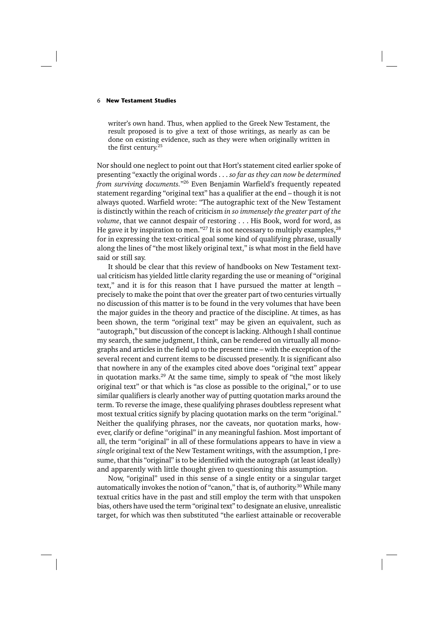writer's own hand. Thus, when applied to the Greek New Testament, the result proposed is to give a text of those writings, as nearly as can be done on existing evidence, such as they were when originally written in the first century.25

Nor should one neglect to point out that Hort's statement cited earlier spoke of presenting "exactly the original words . . . *so far as they can now be determined from surviving documents.*"26 Even Benjamin Warfield's frequently repeated statement regarding "original text" has a qualifier at the end – though it is not always quoted. Warfield wrote: "The autographic text of the New Testament is distinctly within the reach of criticism *in so immensely the greater part of the volume*, that we cannot despair of restoring . . . His Book, word for word, as He gave it by inspiration to men."<sup>27</sup> It is not necessary to multiply examples,  $28$ for in expressing the text-critical goal some kind of qualifying phrase, usually along the lines of "the most likely original text," is what most in the field have said or still say.

It should be clear that this review of handbooks on New Testament textual criticism has yielded little clarity regarding the use or meaning of "original text," and it is for this reason that I have pursued the matter at length – precisely to make the point that over the greater part of two centuries virtually no discussion of this matter is to be found in the very volumes that have been the major guides in the theory and practice of the discipline. At times, as has been shown, the term "original text" may be given an equivalent, such as "autograph," but discussion of the concept is lacking. Although I shall continue my search, the same judgment, I think, can be rendered on virtually all monographs and articles in the field up to the present time – with the exception of the several recent and current items to be discussed presently. It is significant also that nowhere in any of the examples cited above does "original text" appear in quotation marks.29 At the same time, simply to speak of "the most likely original text" or that which is "as close as possible to the original," or to use similar qualifiers is clearly another way of putting quotation marks around the term. To reverse the image, these qualifying phrases doubtless represent what most textual critics signify by placing quotation marks on the term "original." Neither the qualifying phrases, nor the caveats, nor quotation marks, however, clarify or define "original" in any meaningful fashion. Most important of all, the term "original" in all of these formulations appears to have in view a *single* original text of the New Testament writings, with the assumption, I presume, that this "original" is to be identified with the autograph (at least ideally) and apparently with little thought given to questioning this assumption.

Now, "original" used in this sense of a single entity or a singular target automatically invokes the notion of "canon," that is, of authority.<sup>30</sup> While many textual critics have in the past and still employ the term with that unspoken bias, others have used the term "original text" to designate an elusive, unrealistic target, for which was then substituted "the earliest attainable or recoverable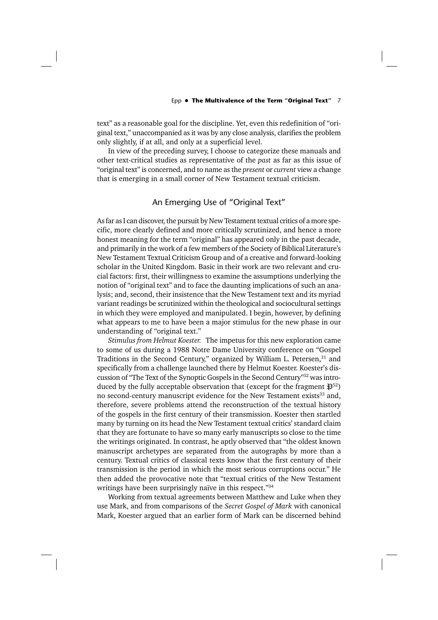text" as a reasonable goal for the discipline. Yet, even this redefinition of "original text," unaccompanied as it was by any close analysis, clarifies the problem only slightly, if at all, and only at a superficial level.

In view of the preceding survey, I choose to categorize these manuals and other text-critical studies as representative of the *past* as far as this issue of "original text" is concerned, and to name as the *present* or *current* view a change that is emerging in a small corner of New Testament textual criticism.

# An Emerging Use of "Original Text"

As far as I can discover, the pursuit by New Testament textual critics of a more specific, more clearly defined and more critically scrutinized, and hence a more honest meaning for the term "original" has appeared only in the past decade, and primarily in the work of a few members of the Society of Biblical Literature's New Testament Textual Criticism Group and of a creative and forward-looking scholar in the United Kingdom. Basic in their work are two relevant and crucial factors: first, their willingness to examine the assumptions underlying the notion of "original text" and to face the daunting implications of such an analysis; and, second, their insistence that the New Testament text and its myriad variant readings be scrutinized within the theological and sociocultural settings in which they were employed and manipulated. I begin, however, by defining what appears to me to have been a major stimulus for the new phase in our understanding of "original text."

*Stimulus from Helmut Koester.* The impetus for this new exploration came to some of us during a 1988 Notre Dame University conference on "Gospel Traditions in the Second Century," organized by William L. Petersen,<sup>31</sup> and specifically from a challenge launched there by Helmut Koester. Koester's discussion of "The Text of the Synoptic Gospels in the Second Century"32 was introduced by the fully acceptable observation that (except for the fragment  $\mathbb{P}^{52}$ ) no second-century manuscript evidence for the New Testament exists<sup>33</sup> and, therefore, severe problems attend the reconstruction of the textual history of the gospels in the first century of their transmission. Koester then startled many by turning on its head the New Testament textual critics' standard claim that they are fortunate to have so many early manuscripts so close to the time the writings originated. In contrast, he aptly observed that "the oldest known manuscript archetypes are separated from the autographs by more than a century. Textual critics of classical texts know that the first century of their transmission is the period in which the most serious corruptions occur." He then added the provocative note that "textual critics of the New Testament writings have been surprisingly naïve in this respect."34

Working from textual agreements between Matthew and Luke when they use Mark, and from comparisons of the *Secret Gospel of Mark* with canonical Mark, Koester argued that an earlier form of Mark can be discerned behind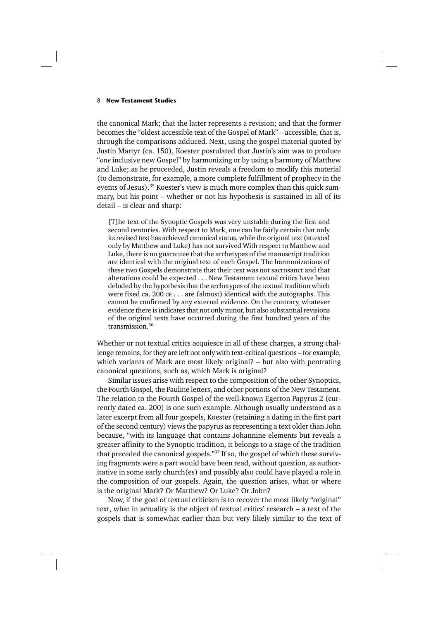the canonical Mark; that the latter represents a revision; and that the former becomes the "oldest accessible text of the Gospel of Mark" – accessible, that is, through the comparisons adduced. Next, using the gospel material quoted by Justin Martyr (ca. 150), Koester postulated that Justin's aim was to produce "*one* inclusive new Gospel" by harmonizing or by using a harmony of Matthew and Luke; as he proceeded, Justin reveals a freedom to modify this material (to demonstrate, for example, a more complete fulfillment of prophecy in the events of Jesus).<sup>35</sup> Koester's view is much more complex than this quick summary, but his point – whether or not his hypothesis is sustained in all of its detail – is clear and sharp:

[T]he text of the Synoptic Gospels was very unstable during the first and second centuries. With respect to Mark, one can be fairly certain that only its revised text has achieved canonical status, while the original text (attested only by Matthew and Luke) has not survived With respect to Matthew and Luke, there is no guarantee that the archetypes of the manuscript tradition are identical with the original text of each Gospel. The harmonizations of these two Gospels demonstrate that their text was not sacrosanct and that alterations could be expected . . . New Testament textual critics have been deluded by the hypothesis that the archetypes of the textual tradition which were fixed ca. 200  $CE \ldots$  are (almost) identical with the autographs. This cannot be confirmed by any external evidence. On the contrary, whatever evidence there is indicates that not only minor, but also substantial revisions of the original texts have occurred during the first hundred years of the transmission.36

Whether or not textual critics acquiesce in all of these charges, a strong challenge remains, for they are left not only with text-critical questions – for example, which variants of Mark are most likely original? – but also with pentrating canonical questions, such as, which Mark is original?

Similar issues arise with respect to the composition of the other Synoptics, the Fourth Gospel, the Pauline letters, and other portions of the New Testament. The relation to the Fourth Gospel of the well-known Egerton Papyrus 2 (currently dated ca. 200) is one such example. Although usually understood as a later excerpt from all four gospels, Koester (retaining a dating in the first part of the second century) views the papyrus as representing a text older than John because, "with its language that contains Johannine elements but reveals a greater affinity to the Synoptic tradition, it belongs to a stage of the tradition that preceded the canonical gospels."37 If so, the gospel of which these surviving fragments were a part would have been read, without question, as authoritative in some early church(es) and possibly also could have played a role in the composition of our gospels. Again, the question arises, what or where is the original Mark? Or Matthew? Or Luke? Or John?

Now, if the goal of textual criticism is to recover the most likely "original" text, what in actuality is the object of textual critics' research – a text of the gospels that is somewhat earlier than but very likely similar to the text of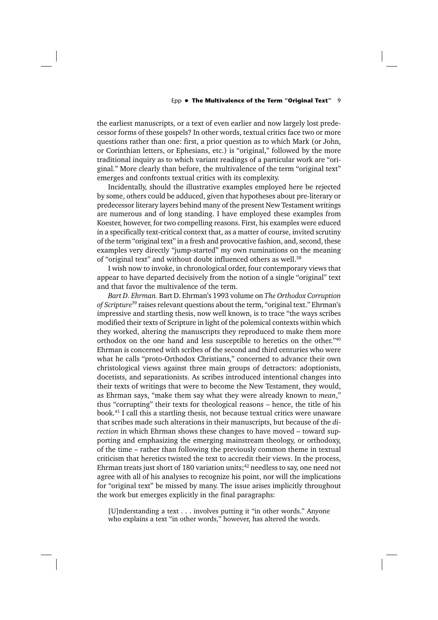the earliest manuscripts, or a text of even earlier and now largely lost predecessor forms of these gospels? In other words, textual critics face two or more questions rather than one: first, a prior question as to which Mark (or John, or Corinthian letters, or Ephesians, etc.) is "original," followed by the more traditional inquiry as to which variant readings of a particular work are "original." More clearly than before, the multivalence of the term "original text" emerges and confronts textual critics with its complexity.

Incidentally, should the illustrative examples employed here be rejected by some, others could be adduced, given that hypotheses about pre-literary or predecessor literary layers behind many of the present New Testament writings are numerous and of long standing. I have employed these examples from Koester, however, for two compelling reasons. First, his examples were educed in a specifically text-critical context that, as a matter of course, invited scrutiny of the term "original text" in a fresh and provocative fashion, and, second, these examples very directly "jump-started" my own ruminations on the meaning of "original text" and without doubt influenced others as well.<sup>38</sup>

I wish now to invoke, in chronological order, four contemporary views that appear to have departed decisively from the notion of a single "original" text and that favor the multivalence of the term.

*Bart D. Ehrman.* Bart D. Ehrman's 1993 volume on *The Orthodox Corruption of Scripture*39 raises relevant questions about the term, "original text." Ehrman's impressive and startling thesis, now well known, is to trace "the ways scribes modified their texts of Scripture in light of the polemical contexts within which they worked, altering the manuscripts they reproduced to make them more orthodox on the one hand and less susceptible to heretics on the other."40 Ehrman is concerned with scribes of the second and third centuries who were what he calls "proto-Orthodox Christians," concerned to advance their own christological views against three main groups of detractors: adoptionists, docetists, and separationists. As scribes introduced intentional changes into their texts of writings that were to become the New Testament, they would, as Ehrman says, "make them say what they were already known to *mean*," thus "corrupting" their texts for theological reasons – hence, the title of his book.41 I call this a startling thesis, not because textual critics were unaware that scribes made such alterations in their manuscripts, but because of the *direction* in which Ehrman shows these changes to have moved – toward supporting and emphasizing the emerging mainstream theology, or orthodoxy, of the time – rather than following the previously common theme in textual criticism that heretics twisted the text to accredit their views. In the process, Ehrman treats just short of 180 variation units;<sup>42</sup> needless to say, one need not agree with all of his analyses to recognize his point, nor will the implications for "original text" be missed by many. The issue arises implicitly throughout the work but emerges explicitly in the final paragraphs:

[U]nderstanding a text . . . involves putting it "in other words." Anyone who explains a text "in other words," however, has altered the words.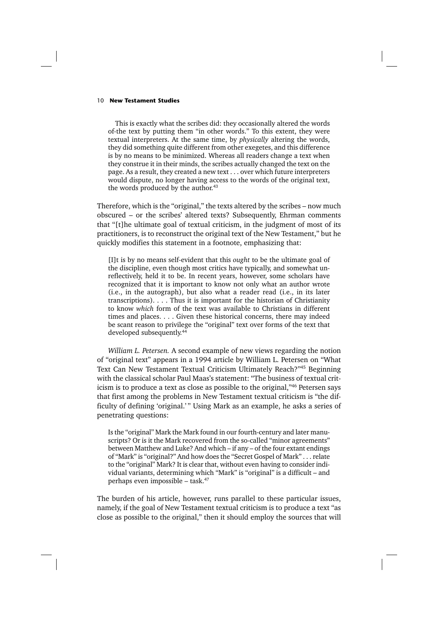This is exactly what the scribes did: they occasionally altered the words of-the text by putting them "in other words." To this extent, they were textual interpreters. At the same time, by *physically* altering the words, they did something quite different from other exegetes, and this difference is by no means to be minimized. Whereas all readers change a text when they construe it in their minds, the scribes actually changed the text on the page. As a result, they created a new text . . . over which future interpreters would dispute, no longer having access to the words of the original text, the words produced by the author.<sup>43</sup>

Therefore, which is the "original," the texts altered by the scribes – now much obscured – or the scribes' altered texts? Subsequently, Ehrman comments that "[t]he ultimate goal of textual criticism, in the judgment of most of its practitioners, is to reconstruct the original text of the New Testament," but he quickly modifies this statement in a footnote, emphasizing that:

[I]t is by no means self-evident that this *ought* to be the ultimate goal of the discipline, even though most critics have typically, and somewhat unreflectively, held it to be. In recent years, however, some scholars have recognized that it is important to know not only what an author wrote (i.e., in the autograph), but also what a reader read (i.e., in its later transcriptions). . . . Thus it is important for the historian of Christianity to know *which* form of the text was available to Christians in different times and places. . . . Given these historical concerns, there may indeed be scant reason to privilege the "original" text over forms of the text that developed subsequently.<sup>44</sup>

*William L. Petersen.* A second example of new views regarding the notion of "original text" appears in a 1994 article by William L. Petersen on "What Text Can New Testament Textual Criticism Ultimately Reach?"45 Beginning with the classical scholar Paul Maas's statement: "The business of textual criticism is to produce a text as close as possible to the original,"46 Petersen says that first among the problems in New Testament textual criticism is "the difficulty of defining 'original.'" Using Mark as an example, he asks a series of penetrating questions:

Is the "original" Mark the Mark found in our fourth-century and later manuscripts? Or is it the Mark recovered from the so-called "minor agreements" between Matthew and Luke? And which – if any – of the four extant endings of "Mark" is "original?" And how does the "Secret Gospel of Mark" . . . relate to the "original" Mark? It is clear that, without even having to consider individual variants, determining which "Mark" is "original" is a difficult – and perhaps even impossible – task.47

The burden of his article, however, runs parallel to these particular issues, namely, if the goal of New Testament textual criticism is to produce a text "as close as possible to the original," then it should employ the sources that will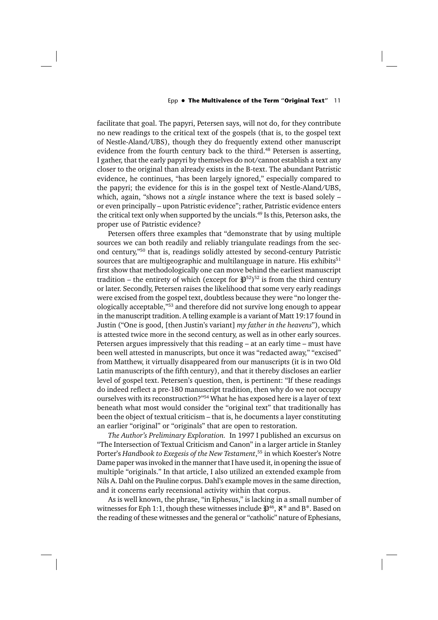facilitate that goal. The papyri, Petersen says, will not do, for they contribute no new readings to the critical text of the gospels (that is, to the gospel text of Nestle-Aland/UBS), though they do frequently extend other manuscript evidence from the fourth century back to the third.<sup>48</sup> Petersen is asserting, I gather, that the early papyri by themselves do not/cannot establish a text any closer to the original than already exists in the B-text. The abundant Patristic evidence, he continues, "has been largely ignored," especially compared to the papyri; the evidence for this is in the gospel text of Nestle-Aland/UBS, which, again, "shows not a *single* instance where the text is based solely – or even principally – upon Patristic evidence"; rather, Patristic evidence enters the critical text only when supported by the uncials.<sup>49</sup> Is this, Peterson asks, the proper use of Patristic evidence?

Petersen offers three examples that "demonstrate that by using multiple sources we can both readily and reliably triangulate readings from the second century,"50 that is, readings solidly attested by second-century Patristic sources that are multigeographic and multilanguage in nature. His exhibits $^{51}$ first show that methodologically one can move behind the earliest manuscript tradition – the entirety of which (except for  $\mathbb{R}^{52}$ )<sup>52</sup> is from the third century or later. Secondly, Petersen raises the likelihood that some very early readings were excised from the gospel text, doubtless because they were "no longer theologically acceptable,"53 and therefore did not survive long enough to appear in the manuscript tradition. A telling example is a variant of Matt 19:17 found in Justin ("One is good, [then Justin's variant] *my father in the heavens*"), which is attested twice more in the second century, as well as in other early sources. Petersen argues impressively that this reading – at an early time – must have been well attested in manuscripts, but once it was "redacted away," "excised" from Matthew, it virtually disappeared from our manuscripts (it is in two Old Latin manuscripts of the fifth century), and that it thereby discloses an earlier level of gospel text. Petersen's question, then, is pertinent: "If these readings do indeed reflect a pre-180 manuscript tradition, then why do we not occupy ourselves with its reconstruction?"54 What he has exposed here is a layer of text beneath what most would consider the "original text" that traditionally has been the object of textual criticism – that is, he documents a layer constituting an earlier "original" or "originals" that are open to restoration.

*The Author's Preliminary Exploration.* In 1997 I published an excursus on "The Intersection of Textual Criticism and Canon" in a larger article in Stanley Porter's *Handbook to Exegesis of the New Testament*, 55 in which Koester's Notre Dame paper was invoked in the manner that I have used it, in opening the issue of multiple "originals." In that article, I also utilized an extended example from Nils A. Dahl on the Pauline corpus. Dahl's example moves in the same direction, and it concerns early recensional activity within that corpus.

As is well known, the phrase, "in Ephesus," is lacking in a small number of witnesses for Eph 1:1, though these witnesses include  $\mathbb{P}^{46}$ ,  $\mathbb{X}^*$  and  $B^*$ . Based on the reading of these witnesses and the general or "catholic" nature of Ephesians,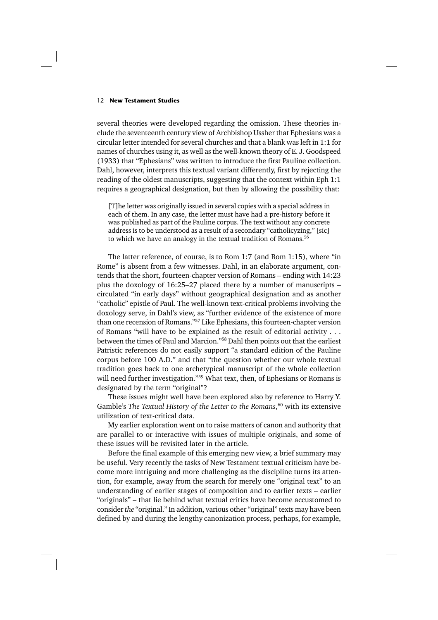several theories were developed regarding the omission. These theories include the seventeenth century view of Archbishop Ussher that Ephesians was a circular letter intended for several churches and that a blank was left in 1:1 for names of churches using it, as well as the well-known theory of E. J. Goodspeed (1933) that "Ephesians" was written to introduce the first Pauline collection. Dahl, however, interprets this textual variant differently, first by rejecting the reading of the oldest manuscripts, suggesting that the context within Eph 1:1 requires a geographical designation, but then by allowing the possibility that:

[T]he letter was originally issued in several copies with a special address in each of them. In any case, the letter must have had a pre-history before it was published as part of the Pauline corpus. The text without any concrete address is to be understood as a result of a secondary "catholicyzing," [sic] to which we have an analogy in the textual tradition of Romans.<sup>56</sup>

The latter reference, of course, is to Rom 1:7 (and Rom 1:15), where "in Rome" is absent from a few witnesses. Dahl, in an elaborate argument, contends that the short, fourteen-chapter version of Romans – ending with 14:23 plus the doxology of 16:25–27 placed there by a number of manuscripts – circulated "in early days" without geographical designation and as another "catholic" epistle of Paul. The well-known text-critical problems involving the doxology serve, in Dahl's view, as "further evidence of the existence of more than one recension of Romans."57 Like Ephesians, this fourteen-chapter version of Romans "will have to be explained as the result of editorial activity . . . between the times of Paul and Marcion."58 Dahl then points out that the earliest Patristic references do not easily support "a standard edition of the Pauline corpus before 100 A.D." and that "the question whether our whole textual tradition goes back to one archetypical manuscript of the whole collection will need further investigation."<sup>59</sup> What text, then, of Ephesians or Romans is designated by the term "original"?

These issues might well have been explored also by reference to Harry Y. Gamble's *The Textual History of the Letter to the Romans*, 60 with its extensive utilization of text-critical data.

My earlier exploration went on to raise matters of canon and authority that are parallel to or interactive with issues of multiple originals, and some of these issues will be revisited later in the article.

Before the final example of this emerging new view, a brief summary may be useful. Very recently the tasks of New Testament textual criticism have become more intriguing and more challenging as the discipline turns its attention, for example, away from the search for merely one "original text" to an understanding of earlier stages of composition and to earlier texts – earlier "originals" – that lie behind what textual critics have become accustomed to consider*the* "original." In addition, various other "original" texts may have been defined by and during the lengthy canonization process, perhaps, for example,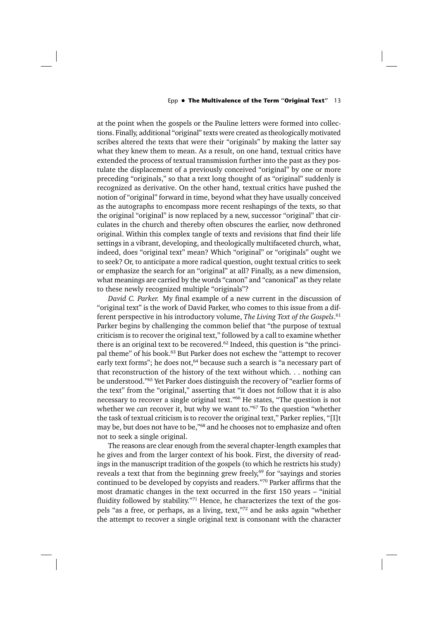at the point when the gospels or the Pauline letters were formed into collections. Finally, additional "original" texts were created as theologically motivated scribes altered the texts that were their "originals" by making the latter say what they knew them to mean. As a result, on one hand, textual critics have extended the process of textual transmission further into the past as they postulate the displacement of a previously conceived "original" by one or more preceding "originals," so that a text long thought of as "original" suddenly is recognized as derivative. On the other hand, textual critics have pushed the notion of "original" forward in time, beyond what they have usually conceived as the autographs to encompass more recent reshapings of the texts, so that the original "original" is now replaced by a new, successor "original" that circulates in the church and thereby often obscures the earlier, now dethroned original. Within this complex tangle of texts and revisions that find their life settings in a vibrant, developing, and theologically multifaceted church, what, indeed, does "original text" mean? Which "original" or "originals" ought we to seek? Or, to anticipate a more radical question, ought textual critics to seek or emphasize the search for an "original" at all? Finally, as a new dimension, what meanings are carried by the words "canon" and "canonical" as they relate to these newly recognized multiple "originals"?

*David C. Parker.* My final example of a new current in the discussion of "original text" is the work of David Parker, who comes to this issue from a different perspective in his introductory volume, *The Living Text of the Gospels*. 61 Parker begins by challenging the common belief that "the purpose of textual criticism is to recover the original text," followed by a call to examine whether there is an original text to be recovered.<sup>62</sup> Indeed, this question is "the principal theme" of his book.<sup>63</sup> But Parker does not eschew the "attempt to recover early text forms"; he does not,<sup>64</sup> because such a search is "a necessary part of that reconstruction of the history of the text without which. . . nothing can be understood."65 Yet Parker does distinguish the recovery of "earlier forms of the text" from the "original," asserting that "it does not follow that it is also necessary to recover a single original text."66 He states, "The question is not whether we *can* recover it, but why we want to."<sup>67</sup> To the question "whether the task of textual criticism is to recover the original text," Parker replies, "[I]t may be, but does not have to be,"68 and he chooses not to emphasize and often not to seek a single original.

The reasons are clear enough from the several chapter-length examples that he gives and from the larger context of his book. First, the diversity of readings in the manuscript tradition of the gospels (to which he restricts his study) reveals a text that from the beginning grew freely,<sup>69</sup> for "sayings and stories continued to be developed by copyists and readers."70 Parker affirms that the most dramatic changes in the text occurred in the first 150 years – "initial fluidity followed by stability."71 Hence, he characterizes the text of the gospels "as a free, or perhaps, as a living, text,"72 and he asks again "whether the attempt to recover a single original text is consonant with the character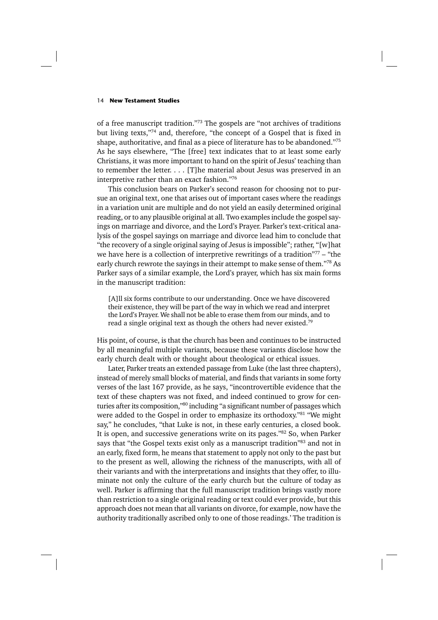of a free manuscript tradition."73 The gospels are "not archives of traditions but living texts,"74 and, therefore, "the concept of a Gospel that is fixed in shape, authoritative, and final as a piece of literature has to be abandoned."75 As he says elsewhere, "The [free] text indicates that to at least some early Christians, it was more important to hand on the spirit of Jesus' teaching than to remember the letter. . . . [T]he material about Jesus was preserved in an interpretive rather than an exact fashion."76

This conclusion bears on Parker's second reason for choosing not to pursue an original text, one that arises out of important cases where the readings in a variation unit are multiple and do not yield an easily determined original reading, or to any plausible original at all. Two examples include the gospel sayings on marriage and divorce, and the Lord's Prayer. Parker's text-critical analysis of the gospel sayings on marriage and divorce lead him to conclude that "the recovery of a single original saying of Jesus is impossible"; rather, "[w]hat we have here is a collection of interpretive rewritings of a tradition $177 - 4$ the early church rewrote the sayings in their attempt to make sense of them."78 As Parker says of a similar example, the Lord's prayer, which has six main forms in the manuscript tradition:

[A]ll six forms contribute to our understanding. Once we have discovered their existence, they will be part of the way in which we read and interpret the Lord's Prayer. We shall not be able to erase them from our minds, and to read a single original text as though the others had never existed.<sup>79</sup>

His point, of course, is that the church has been and continues to be instructed by all meaningful multiple variants, because these variants disclose how the early church dealt with or thought about theological or ethical issues.

Later, Parker treats an extended passage from Luke (the last three chapters), instead of merely small blocks of material, and finds that variants in some forty verses of the last 167 provide, as he says, "incontrovertible evidence that the text of these chapters was not fixed, and indeed continued to grow for centuries after its composition,"80 including "a significant number of passages which were added to the Gospel in order to emphasize its orthodoxy."81 "We might say," he concludes, "that Luke is not, in these early centuries, a closed book. It is open, and successive generations write on its pages."82 So, when Parker says that "the Gospel texts exist only as a manuscript tradition"<sup>83</sup> and not in an early, fixed form, he means that statement to apply not only to the past but to the present as well, allowing the richness of the manuscripts, with all of their variants and with the interpretations and insights that they offer, to illuminate not only the culture of the early church but the culture of today as well. Parker is affirming that the full manuscript tradition brings vastly more than restriction to a single original reading or text could ever provide, but this approach does not mean that all variants on divorce, for example, now have the authority traditionally ascribed only to one of those readings.' The tradition is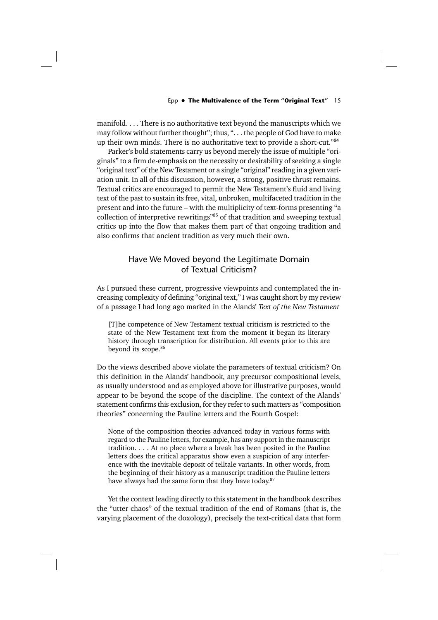manifold. . . . There is no authoritative text beyond the manuscripts which we may follow without further thought"; thus, ". . . the people of God have to make up their own minds. There is no authoritative text to provide a short-cut."84

Parker's bold statements carry us beyond merely the issue of multiple "originals" to a firm de-emphasis on the necessity or desirability of seeking a single "original text" of the New Testament or a single "original" reading in a given variation unit. In all of this discussion, however, a strong, positive thrust remains. Textual critics are encouraged to permit the New Testament's fluid and living text of the past to sustain its free, vital, unbroken, multifaceted tradition in the present and into the future – with the multiplicity of text-forms presenting "a collection of interpretive rewritings"<sup>85</sup> of that tradition and sweeping textual critics up into the flow that makes them part of that ongoing tradition and also confirms that ancient tradition as very much their own.

# Have We Moved beyond the Legitimate Domain of Textual Criticism?

As I pursued these current, progressive viewpoints and contemplated the increasing complexity of defining "original text," I was caught short by my review of a passage I had long ago marked in the Alands' *Text of the New Testament*

[T]he competence of New Testament textual criticism is restricted to the state of the New Testament text from the moment it began its literary history through transcription for distribution. All events prior to this are beyond its scope.<sup>86</sup>

Do the views described above violate the parameters of textual criticism? On this definition in the Alands' handbook, any precursor compositional levels, as usually understood and as employed above for illustrative purposes, would appear to be beyond the scope of the discipline. The context of the Alands' statement confirms this exclusion, for they refer to such matters as "composition theories" concerning the Pauline letters and the Fourth Gospel:

None of the composition theories advanced today in various forms with regard to the Pauline letters, for example, has any support in the manuscript tradition. . . . At no place where a break has been posited in the Pauline letters does the critical apparatus show even a suspicion of any interference with the inevitable deposit of telltale variants. In other words, from the beginning of their history as a manuscript tradition the Pauline letters have always had the same form that they have today.<sup>87</sup>

Yet the context leading directly to this statement in the handbook describes the "utter chaos" of the textual tradition of the end of Romans (that is, the varying placement of the doxology), precisely the text-critical data that form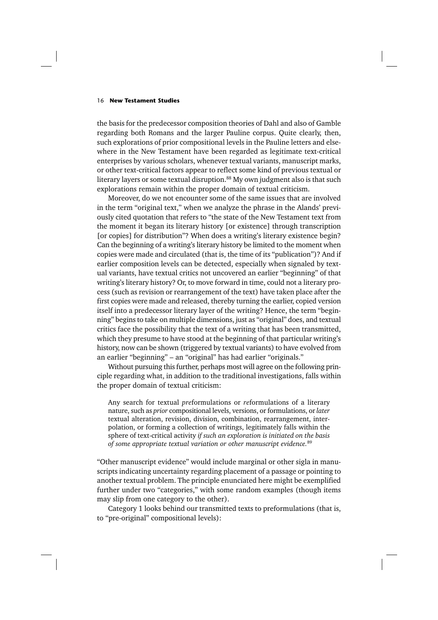the basis for the predecessor composition theories of Dahl and also of Gamble regarding both Romans and the larger Pauline corpus. Quite clearly, then, such explorations of prior compositional levels in the Pauline letters and elsewhere in the New Testament have been regarded as legitimate text-critical enterprises by various scholars, whenever textual variants, manuscript marks, or other text-critical factors appear to reflect some kind of previous textual or literary layers or some textual disruption. $88$  My own judgment also is that such explorations remain within the proper domain of textual criticism.

Moreover, do we not encounter some of the same issues that are involved in the term "original text," when we analyze the phrase in the Alands' previously cited quotation that refers to "the state of the New Testament text from the moment it began its literary history [or existence] through transcription [or copies] for distribution"? When does a writing's literary existence begin? Can the beginning of a writing's literary history be limited to the moment when copies were made and circulated (that is, the time of its "publication")? And if earlier composition levels can be detected, especially when signaled by textual variants, have textual critics not uncovered an earlier "beginning" of that writing's literary history? Or, to move forward in time, could not a literary process (such as revision or rearrangement of the text) have taken place after the first copies were made and released, thereby turning the earlier, copied version itself into a predecessor literary layer of the writing? Hence, the term "beginning" begins to take on multiple dimensions, just as "original" does, and textual critics face the possibility that the text of a writing that has been transmitted, which they presume to have stood at the beginning of that particular writing's history, now can be shown (triggered by textual variants) to have evolved from an earlier "beginning" – an "original" has had earlier "originals."

Without pursuing this further, perhaps most will agree on the following principle regarding what, in addition to the traditional investigations, falls within the proper domain of textual criticism:

Any search for textual *pre*formulations or *re*formulations of a literary nature, such as *prior* compositional levels, versions, or formulations, or *later* textual alteration, revision, division, combination, rearrangement, interpolation, or forming a collection of writings, legitimately falls within the sphere of text-critical activity *if such an exploration is initiated on the basis of some appropriate textual variation or other manuscript evidence.*<sup>89</sup>

"Other manuscript evidence" would include marginal or other sigla in manuscripts indicating uncertainty regarding placement of a passage or pointing to another textual problem. The principle enunciated here might be exemplified further under two "categories," with some random examples (though items may slip from one category to the other).

Category 1 looks behind our transmitted texts to preformulations (that is, to "pre-original" compositional levels):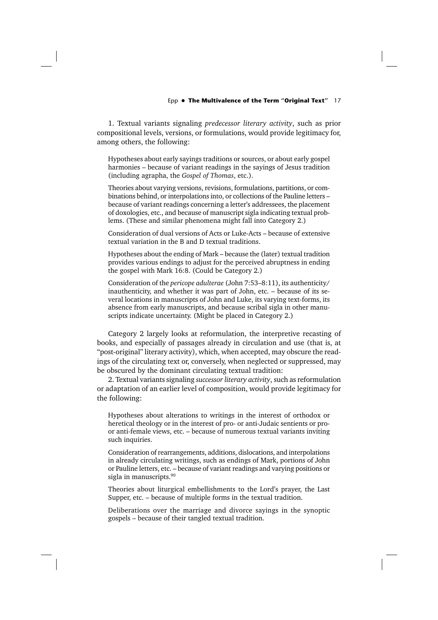1. Textual variants signaling *predecessor literary activity*, such as prior compositional levels, versions, or formulations, would provide legitimacy for, among others, the following:

Hypotheses about early sayings traditions or sources, or about early gospel harmonies – because of variant readings in the sayings of Jesus tradition (including agrapha, the *Gospel of Thomas*, etc.).

Theories about varying versions, revisions, formulations, partitions, or combinations behind, or interpolations into, or collections of the Pauline letters – because of variant readings concerning a letter's addressees, the placement of doxologies, etc., and because of manuscript sigla indicating textual problems. (These and similar phenomena might fall into Category 2.)

Consideration of dual versions of Acts or Luke-Acts – because of extensive textual variation in the B and D textual traditions.

Hypotheses about the ending of Mark – because the (later) textual tradition provides various endings to adjust for the perceived abruptness in ending the gospel with Mark 16:8. (Could be Category 2.)

Consideration of the *pericope adulterae* (John 7:53–8:11), its authenticity/ inauthenticity, and whether it was part of John, etc. – because of its several locations in manuscripts of John and Luke, its varying text-forms, its absence from early manuscripts, and because scribal sigla in other manuscripts indicate uncertainty. (Might be placed in Category 2.)

Category 2 largely looks at reformulation, the interpretive recasting of books, and especially of passages already in circulation and use (that is, at "post-original" literary activity), which, when accepted, may obscure the readings of the circulating text or, conversely, when neglected or suppressed, may be obscured by the dominant circulating textual tradition:

2. Textual variants signaling *successor literary activity*, such as reformulation or adaptation of an earlier level of composition, would provide legitimacy for the following:

Hypotheses about alterations to writings in the interest of orthodox or heretical theology or in the interest of pro- or anti-Judaic sentients or proor anti-female views, etc. – because of numerous textual variants inviting such inquiries.

Consideration of rearrangements, additions, dislocations, and interpolations in already circulating writings, such as endings of Mark, portions of John or Pauline letters, etc. – because of variant readings and varying positions or sigla in manuscripts.<sup>90</sup>

Theories about liturgical embellishments to the Lord's prayer, the Last Supper, etc. – because of multiple forms in the textual tradition.

Deliberations over the marriage and divorce sayings in the synoptic gospels – because of their tangled textual tradition.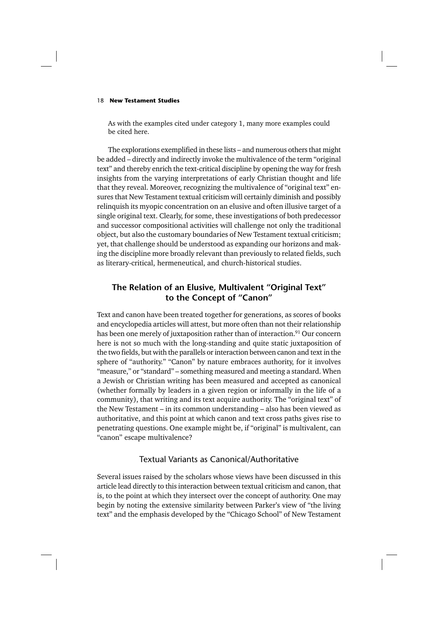As with the examples cited under category 1, many more examples could be cited here.

The explorations exemplified in these lists – and numerous others that might be added – directly and indirectly invoke the multivalence of the term "original text" and thereby enrich the text-critical discipline by opening the way for fresh insights from the varying interpretations of early Christian thought and life that they reveal. Moreover, recognizing the multivalence of "original text" ensures that New Testament textual criticism will certainly diminish and possibly relinquish its myopic concentration on an elusive and often illusive target of a single original text. Clearly, for some, these investigations of both predecessor and successor compositional activities will challenge not only the traditional object, but also the customary boundaries of New Testament textual criticism; yet, that challenge should be understood as expanding our horizons and making the discipline more broadly relevant than previously to related fields, such as literary-critical, hermeneutical, and church-historical studies.

# **The Relation of an Elusive, Multivalent "Original Text" to the Concept of "Canon"**

Text and canon have been treated together for generations, as scores of books and encyclopedia articles will attest, but more often than not their relationship has been one merely of juxtaposition rather than of interaction.<sup>91</sup> Our concern here is not so much with the long-standing and quite static juxtaposition of the two fields, but with the parallels or interaction between canon and text in the sphere of "authority." "Canon" by nature embraces authority, for it involves "measure," or "standard" – something measured and meeting a standard. When a Jewish or Christian writing has been measured and accepted as canonical (whether formally by leaders in a given region or informally in the life of a community), that writing and its text acquire authority. The "original text" of the New Testament – in its common understanding – also has been viewed as authoritative, and this point at which canon and text cross paths gives rise to penetrating questions. One example might be, if "original" is multivalent, can "canon" escape multivalence?

# Textual Variants as Canonical/Authoritative

Several issues raised by the scholars whose views have been discussed in this article lead directly to this interaction between textual criticism and canon, that is, to the point at which they intersect over the concept of authority. One may begin by noting the extensive similarity between Parker's view of "the living text" and the emphasis developed by the "Chicago School" of New Testament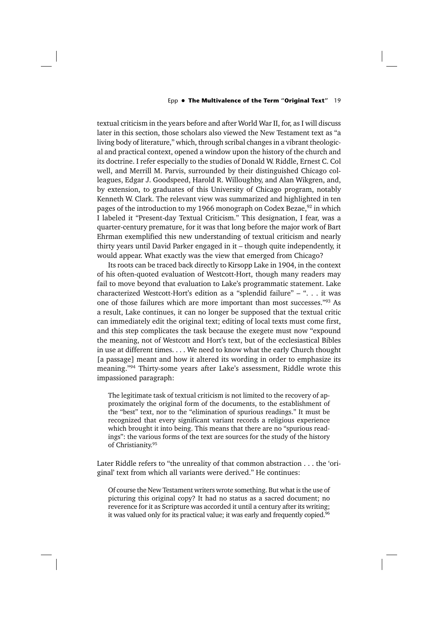textual criticism in the years before and after World War II, for, as I will discuss later in this section, those scholars also viewed the New Testament text as "a living body of literature," which, through scribal changes in a vibrant theological and practical context, opened a window upon the history of the church and its doctrine. I refer especially to the studies of Donald W. Riddle, Ernest C. Col well, and Merrill M. Parvis, surrounded by their distinguished Chicago colleagues, Edgar J. Goodspeed, Harold R. Willoughby, and Alan Wikgren, and, by extension, to graduates of this University of Chicago program, notably Kenneth W. Clark. The relevant view was summarized and highlighted in ten pages of the introduction to my 1966 monograph on Codex Bezae,<sup>92</sup> in which I labeled it "Present-day Textual Criticism." This designation, I fear, was a quarter-century premature, for it was that long before the major work of Bart Ehrman exemplified this new understanding of textual criticism and nearly thirty years until David Parker engaged in it – though quite independently, it would appear. What exactly was the view that emerged from Chicago?

Its roots can be traced back directly to Kirsopp Lake in 1904, in the context of his often-quoted evaluation of Westcott-Hort, though many readers may fail to move beyond that evaluation to Lake's programmatic statement. Lake characterized Westcott-Hort's edition as a "splendid failure" – ". . . it was one of those failures which are more important than most successes."93 As a result, Lake continues, it can no longer be supposed that the textual critic can immediately edit the original text; editing of local texts must come first, and this step complicates the task because the exegete must now "expound the meaning, not of Westcott and Hort's text, but of the ecclesiastical Bibles in use at different times. . . . We need to know what the early Church thought [a passage] meant and how it altered its wording in order to emphasize its meaning."94 Thirty-some years after Lake's assessment, Riddle wrote this impassioned paragraph:

The legitimate task of textual criticism is not limited to the recovery of approximately the original form of the documents, to the establishment of the "best" text, nor to the "elimination of spurious readings." It must be recognized that every significant variant records a religious experience which brought it into being. This means that there are no "spurious readings": the various forms of the text are sources for the study of the history of Christianity.<sup>95</sup>

Later Riddle refers to "the unreality of that common abstraction . . . the 'original' text from which all variants were derived." He continues:

Of course the New Testament writers wrote something. But what is the use of picturing this original copy? It had no status as a sacred document; no reverence for it as Scripture was accorded it until a century after its writing; it was valued only for its practical value; it was early and frequently copied.<sup>96</sup>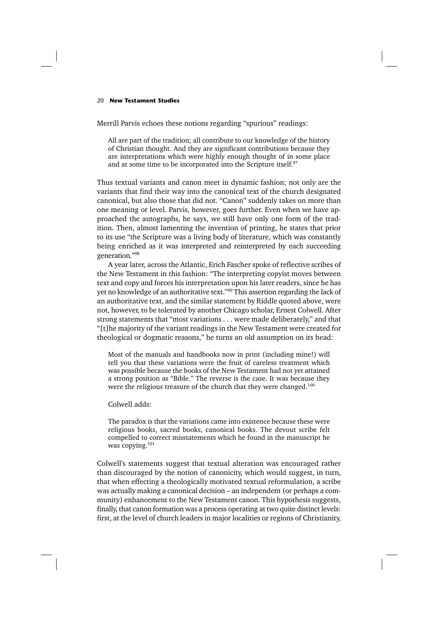Merrill Parvis echoes these notions regarding "spurious" readings:

All are part of the tradition; all contribute to our knowledge of the history of Christian thought. And they are significant contributions because they are interpretations which were highly enough thought of in some place and at some time to be incorporated into the Scripture itself.<sup>97</sup>

Thus textual variants and canon meet in dynamic fashion; not only are the variants that find their way into the canonical text of the church designated canonical, but also those that did not. "Canon" suddenly takes on more than one meaning or level. Parvis, however, goes further. Even when we have approached the autographs, he says, we still have only one form of the tradition. Then, almost lamenting the invention of printing, he states that prior to its use "the Scripture was a living body of literature, which was constantly being enriched as it was interpreted and reinterpreted by each succeeding generation."98

A year later, across the Atlantic, Erich Fascher spoke of reflective scribes of the New Testament in this fashion: "The interpreting copyist moves between text and copy and forces his interpretation upon his later readers, since he has yet no knowledge of an authoritative text."<sup>99</sup> This assertion regarding the lack of an authoritative text, and the similar statement by Riddle quoted above, were not, however, to be tolerated by another Chicago scholar, Ernest Colwell. After strong statements that "most variations . . . were made deliberately," and that "[t]he majority of the variant readings in the New Testament were created for theological or dogmatic reasons," he turns an old assumption on its head:

Most of the manuals and handbooks now in print (including mine!) will tell you that these variations were the fruit of careless treatment which was possible because the books of the New Testament had not yet attained a strong position as "Bible." The reverse is the case. It was because they were the religious treasure of the church that they were changed.<sup>100</sup>

Colwell adds:

The paradox is that the variations came into existence because these were religious books, sacred books, canonical books. The devout scribe felt compelled to correct misstatements which he found in the manuscript he was copying.101

Colwell's statements suggest that textual alteration was encouraged rather than discouraged by the notion of canonicity, which would suggest, in turn, that when effecting a theologically motivated textual reformulation, a scribe was actually making a canonical decision – an independent (or perhaps a community) enhancement to the New Testament canon. This hypothesis suggests, finally, that canon formation was a process operating at two quite distinct levels: first, at the level of church leaders in major localities or regions of Christianity,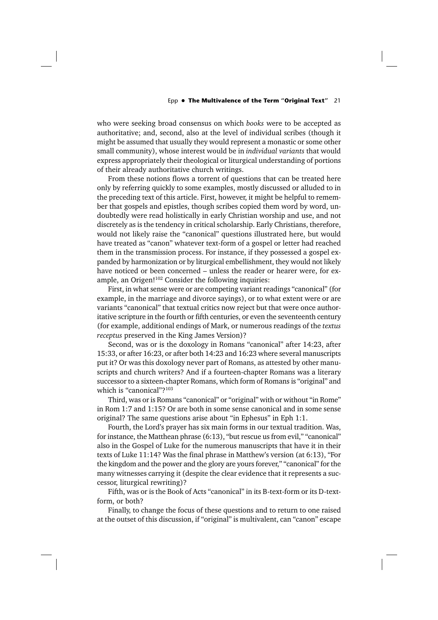who were seeking broad consensus on which *books* were to be accepted as authoritative; and, second, also at the level of individual scribes (though it might be assumed that usually they would represent a monastic or some other small community), whose interest would be in *individual variants* that would express appropriately their theological or liturgical understanding of portions of their already authoritative church writings.

From these notions flows a torrent of questions that can be treated here only by referring quickly to some examples, mostly discussed or alluded to in the preceding text of this article. First, however, it might be helpful to remember that gospels and epistles, though scribes copied them word by word, undoubtedly were read holistically in early Christian worship and use, and not discretely as is the tendency in critical scholarship. Early Christians, therefore, would not likely raise the "canonical" questions illustrated here, but would have treated as "canon" whatever text-form of a gospel or letter had reached them in the transmission process. For instance, if they possessed a gospel expanded by harmonization or by liturgical embellishment, they would not likely have noticed or been concerned – unless the reader or hearer were, for example, an Origen!102 Consider the following inquiries:

First, in what sense were or are competing variant readings "canonical" (for example, in the marriage and divorce sayings), or to what extent were or are variants "canonical" that textual critics now reject but that were once authoritative scripture in the fourth or fifth centuries, or even the seventeenth century (for example, additional endings of Mark, or numerous readings of the *textus receptus* preserved in the King James Version)?

Second, was or is the doxology in Romans "canonical" after 14:23, after 15:33, or after 16:23, or after both 14:23 and 16:23 where several manuscripts put it? Or was this doxology never part of Romans, as attested by other manuscripts and church writers? And if a fourteen-chapter Romans was a literary successor to a sixteen-chapter Romans, which form of Romans is "original" and which is "canonical"?<sup>103</sup>

Third, was or is Romans "canonical" or "original" with or without "in Rome" in Rom 1:7 and 1:15? Or are both in some sense canonical and in some sense original? The same questions arise about "in Ephesus" in Eph 1:1.

Fourth, the Lord's prayer has six main forms in our textual tradition. Was, for instance, the Matthean phrase (6:13), "but rescue us from evil," "canonical" also in the Gospel of Luke for the numerous manuscripts that have it in their texts of Luke 11:14? Was the final phrase in Matthew's version (at 6:13), "For the kingdom and the power and the glory are yours forever," "canonical" for the many witnesses carrying it (despite the clear evidence that it represents a successor, liturgical rewriting)?

Fifth, was or is the Book of Acts "canonical" in its B-text-form or its D-textform, or both?

Finally, to change the focus of these questions and to return to one raised at the outset of this discussion, if "original" is multivalent, can "canon" escape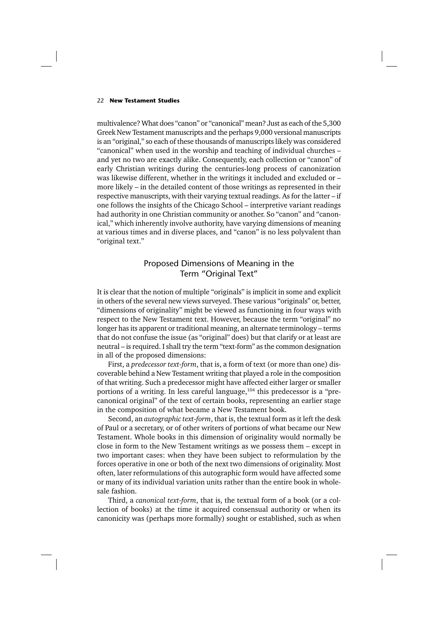multivalence? What does "canon" or "canonical" mean? Just as each of the 5,300 Greek New Testament manuscripts and the perhaps 9,000 versional manuscripts is an "original," so each of these thousands of manuscripts likely was considered "canonical" when used in the worship and teaching of individual churches – and yet no two are exactly alike. Consequently, each collection or "canon" of early Christian writings during the centuries-long process of canonization was likewise different, whether in the writings it included and excluded or – more likely – in the detailed content of those writings as represented in their respective manuscripts, with their varying textual readings. As for the latter – if one follows the insights of the Chicago School – interpretive variant readings had authority in one Christian community or another. So "canon" and "canonical," which inherently involve authority, have varying dimensions of meaning at various times and in diverse places, and "canon" is no less polyvalent than "original text."

# Proposed Dimensions of Meaning in the Term "Original Text"

It is clear that the notion of multiple "originals" is implicit in some and explicit in others of the several new views surveyed. These various "originals" or, better, "dimensions of originality" might be viewed as functioning in four ways with respect to the New Testament text. However, because the term "original" no longer has its apparent or traditional meaning, an alternate terminology – terms that do not confuse the issue (as "original" does) but that clarify or at least are neutral – is required. I shall try the term "text-form" as the common designation in all of the proposed dimensions:

First, a *predecessor text-form*, that is, a form of text (or more than one) discoverable behind a New Testament writing that played a role in the composition of that writing. Such a predecessor might have affected either larger or smaller portions of a writing. In less careful language, $104$  this predecessor is a "precanonical original" of the text of certain books, representing an earlier stage in the composition of what became a New Testament book.

Second, an *autographic text-form*, that is, the textual form as it left the desk of Paul or a secretary, or of other writers of portions of what became our New Testament. Whole books in this dimension of originality would normally be close in form to the New Testament writings as we possess them – except in two important cases: when they have been subject to reformulation by the forces operative in one or both of the next two dimensions of originality. Most often, later reformulations of this autographic form would have affected some or many of its individual variation units rather than the entire book in wholesale fashion.

Third, a *canonical text-form*, that is, the textual form of a book (or a collection of books) at the time it acquired consensual authority or when its canonicity was (perhaps more formally) sought or established, such as when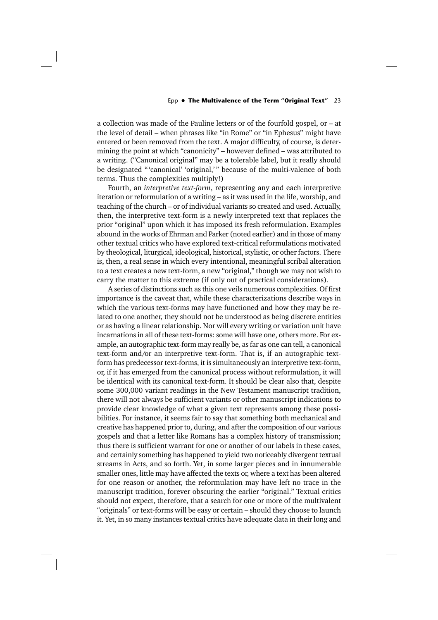a collection was made of the Pauline letters or of the fourfold gospel, or – at the level of detail – when phrases like "in Rome" or "in Ephesus" might have entered or been removed from the text. A major difficulty, of course, is determining the point at which "canonicity" – however defined – was attributed to a writing. ("Canonical original" may be a tolerable label, but it really should be designated "'canonical' 'original,'" because of the multi-valence of both terms. Thus the complexities multiply!)

Fourth, an *interpretive text-form*, representing any and each interpretive iteration or reformulation of a writing – as it was used in the life, worship, and teaching of the church – or of individual variants so created and used. Actually, then, the interpretive text-form is a newly interpreted text that replaces the prior "original" upon which it has imposed its fresh reformulation. Examples abound in the works of Ehrman and Parker (noted earlier) and in those of many other textual critics who have explored text-critical reformulations motivated by theological, liturgical, ideological, historical, stylistic, or other factors. There is, then, a real sense in which every intentional, meaningful scribal alteration to a text creates a new text-form, a new "original," though we may not wish to carry the matter to this extreme (if only out of practical considerations).

A series of distinctions such as this one veils numerous complexities. Of first importance is the caveat that, while these characterizations describe ways in which the various text-forms may have functioned and how they may be related to one another, they should not be understood as being discrete entities or as having a linear relationship. Nor will every writing or variation unit have incarnations in all of these text-forms: some will have one, others more. For example, an autographic text-form may really be, as far as one can tell, a canonical text-form and/or an interpretive text-form. That is, if an autographic textform has predecessor text-forms, it is simultaneously an interpretive text-form, or, if it has emerged from the canonical process without reformulation, it will be identical with its canonical text-form. It should be clear also that, despite some 300,000 variant readings in the New Testament manuscript tradition, there will not always be sufficient variants or other manuscript indications to provide clear knowledge of what a given text represents among these possibilities. For instance, it seems fair to say that something both mechanical and creative has happened prior to, during, and after the composition of our various gospels and that a letter like Romans has a complex history of transmission; thus there is sufficient warrant for one or another of our labels in these cases, and certainly something has happened to yield two noticeably divergent textual streams in Acts, and so forth. Yet, in some larger pieces and in innumerable smaller ones, little may have affected the texts or, where a text has been altered for one reason or another, the reformulation may have left no trace in the manuscript tradition, forever obscuring the earlier "original." Textual critics should not expect, therefore, that a search for one or more of the multivalent "originals" or text-forms will be easy or certain – should they choose to launch it. Yet, in so many instances textual critics have adequate data in their long and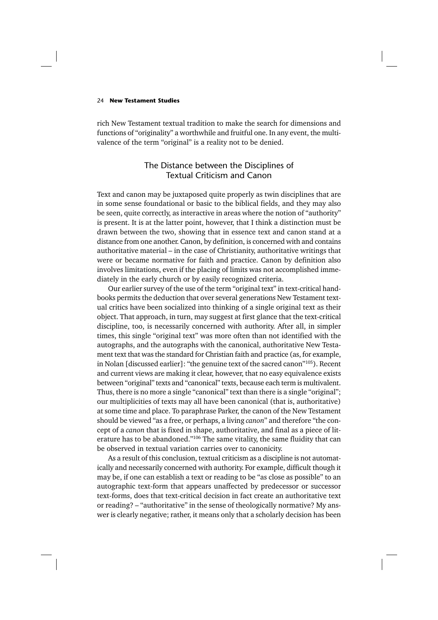rich New Testament textual tradition to make the search for dimensions and functions of "originality" a worthwhile and fruitful one. In any event, the multivalence of the term "original" is a reality not to be denied.

# The Distance between the Disciplines of Textual Criticism and Canon

Text and canon may be juxtaposed quite properly as twin disciplines that are in some sense foundational or basic to the biblical fields, and they may also be seen, quite correctly, as interactive in areas where the notion of "authority" is present. It is at the latter point, however, that I think a distinction must be drawn between the two, showing that in essence text and canon stand at a distance from one another. Canon, by definition, is concerned with and contains authoritative material – in the case of Christianity, authoritative writings that were or became normative for faith and practice. Canon by definition also involves limitations, even if the placing of limits was not accomplished immediately in the early church or by easily recognized criteria.

Our earlier survey of the use of the term "original text" in text-critical handbooks permits the deduction that over several generations New Testament textual critics have been socialized into thinking of a single original text as their object. That approach, in turn, may suggest at first glance that the text-critical discipline, too, is necessarily concerned with authority. After all, in simpler times, this single "original text" was more often than not identified with the autographs, and the autographs with the canonical, authoritative New Testament text that was the standard for Christian faith and practice (as, for example, in Nolan [discussed earlier]: "the genuine text of the sacred canon"105). Recent and current views are making it clear, however, that no easy equivalence exists between "original" texts and "canonical" texts, because each term is multivalent. Thus, there is no more a single "canonical" text than there is a single "original"; our multiplicities of texts may all have been canonical (that is, authoritative) at some time and place. To paraphrase Parker, the canon of the New Testament should be viewed "as a free, or perhaps, a living *canon*" and therefore "the concept of a *canon* that is fixed in shape, authoritative, and final as a piece of literature has to be abandoned."106 The same vitality, the same fluidity that can be observed in textual variation carries over to canonicity.

As a result of this conclusion, textual criticism as a discipline is not automatically and necessarily concerned with authority. For example, difficult though it may be, if one can establish a text or reading to be "as close as possible" to an autographic text-form that appears unaffected by predecessor or successor text-forms, does that text-critical decision in fact create an authoritative text or reading? – "authoritative" in the sense of theologically normative? My answer is clearly negative; rather, it means only that a scholarly decision has been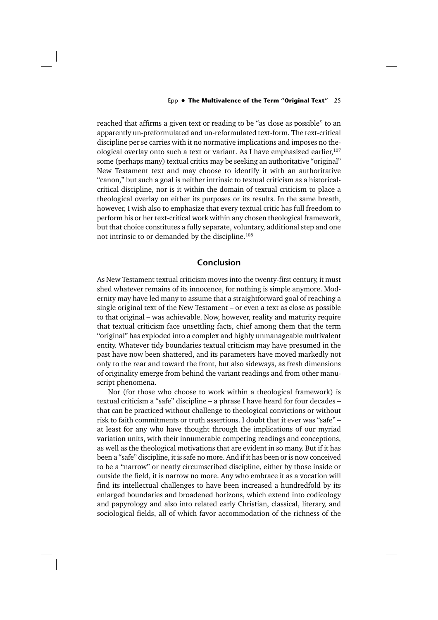reached that affirms a given text or reading to be "as close as possible" to an apparently un-preformulated and un-reformulated text-form. The text-critical discipline per se carries with it no normative implications and imposes no theological overlay onto such a text or variant. As I have emphasized earlier,<sup>107</sup> some (perhaps many) textual critics may be seeking an authoritative "original" New Testament text and may choose to identify it with an authoritative "canon," but such a goal is neither intrinsic to textual criticism as a historicalcritical discipline, nor is it within the domain of textual criticism to place a theological overlay on either its purposes or its results. In the same breath, however, I wish also to emphasize that every textual critic has full freedom to perform his or her text-critical work within any chosen theological framework, but that choice constitutes a fully separate, voluntary, additional step and one not intrinsic to or demanded by the discipline.108

# **Conclusion**

As New Testament textual criticism moves into the twenty-first century, it must shed whatever remains of its innocence, for nothing is simple anymore. Modernity may have led many to assume that a straightforward goal of reaching a single original text of the New Testament – or even a text as close as possible to that original – was achievable. Now, however, reality and maturity require that textual criticism face unsettling facts, chief among them that the term "original" has exploded into a complex and highly unmanageable multivalent entity. Whatever tidy boundaries textual criticism may have presumed in the past have now been shattered, and its parameters have moved markedly not only to the rear and toward the front, but also sideways, as fresh dimensions of originality emerge from behind the variant readings and from other manuscript phenomena.

Nor (for those who choose to work within a theological framework) is textual criticism a "safe" discipline – a phrase I have heard for four decades – that can be practiced without challenge to theological convictions or without risk to faith commitments or truth assertions. I doubt that it ever was "safe" – at least for any who have thought through the implications of our myriad variation units, with their innumerable competing readings and conceptions, as well as the theological motivations that are evident in so many. But if it has been a "safe" discipline, it is safe no more. And if it has been or is now conceived to be a "narrow" or neatly circumscribed discipline, either by those inside or outside the field, it is narrow no more. Any who embrace it as a vocation will find its intellectual challenges to have been increased a hundredfold by its enlarged boundaries and broadened horizons, which extend into codicology and papyrology and also into related early Christian, classical, literary, and sociological fields, all of which favor accommodation of the richness of the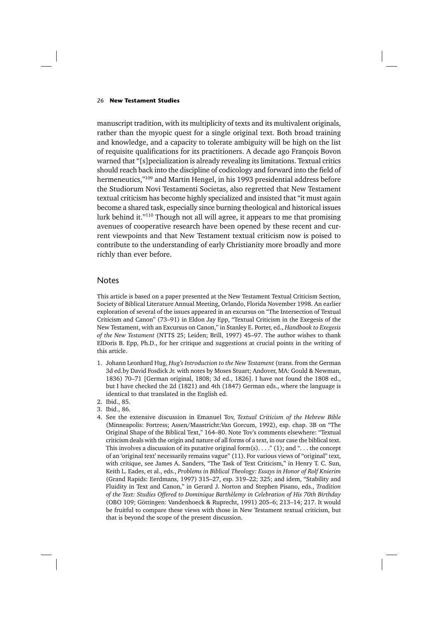manuscript tradition, with its multiplicity of texts and its multivalent originals, rather than the myopic quest for a single original text. Both broad training and knowledge, and a capacity to tolerate ambiguity will be high on the list of requisite qualifications for its practitioners. A decade ago François Bovon warned that "[s]pecialization is already revealing its limitations. Textual critics should reach back into the discipline of codicology and forward into the field of hermeneutics,"109 and Martin Hengel, in his 1993 presidential address before the Studiorum Novi Testamenti Societas, also regretted that New Testament textual criticism has become highly specialized and insisted that "it must again become a shared task, especially since burning theological and historical issues lurk behind it."110 Though not all will agree, it appears to me that promising avenues of cooperative research have been opened by these recent and current viewpoints and that New Testament textual criticism now is poised to contribute to the understanding of early Christianity more broadly and more richly than ever before.

# **Notes**

This article is based on a paper presented at the New Testament Textual Criticism Section, Society of Biblical Literature Annual Meeting, Orlando, Florida November 1998. An earlier exploration of several of the issues appeared in an excursus on "The Intersection of Textual Criticism and Canon" (73–91) in Eldon Jay Epp, "Textual Criticism in the Exegesis of the New Testament, with an Excursus on Canon," in Stanley E. Porter, ed., *Handbook to Exegesis of the New Testament* (NTTS 25; Leiden; Brill, 1997) 45–97. The author wishes to thank ElDoris B. Epp, Ph.D., for her critique and suggestions at crucial points in the writing of this article.

- 1. Johann Leonhard Hug, *Hug's Introduction to the New Testament* (trans. from the German 3d ed.by David Fosdick Jr. with notes by Moses Stuart; Andover, MA: Gould & Newman, 1836) 70–71 [German original, 1808; 3d ed., 1826]. I have not found the 1808 ed., but I have checked the 2d (1821) and 4th (1847) German eds., where the language is identical to that translated in the English ed.
- 2. Ibid., 85.
- 3. Ibid., 86.
- 4. See the extensive discussion in Emanuel Tov, *Textual Criticism of the Hebrew Bible* (Minneapolis: Fortress; Assen/Maastricht:Van Gorcum, 1992), esp. chap. 3B on "The Original Shape of the Biblical Text," 164–80. Note Tov's comments elsewhere: "Textual criticism deals with the origin and nature of all forms of a text, in our case the biblical text. This involves a discussion of its putative original form $(s)$ ...." (1); and "... the concept of an 'original text' necessarily remains vague" (11). For various views of "original" text, with critique, see James A. Sanders, "The Task of Text Criticism," in Henry T. C. Sun, Keith L. Eades, et al., eds., *Problems in Biblical Theology: Essays in Honor of Rolf Knierim* (Grand Rapids: Eerdmans, 1997) 315–27, esp. 319–22; 325; and idem, "Stability and Fluidity in Text and Canon," in Gerard J. Norton and Stephen Pisano, eds., *Tradition of the Text: Studies Offered to Dominique Barthèlemy in Celebration of His 70th Birthday* (OBO 109; Göttingen: Vandenhoeck & Ruprecht, 1991) 205–6; 213–14; 217. It would be fruitful to compare these views with those in New Testament textual criticism, but that is beyond the scope of the present discussion.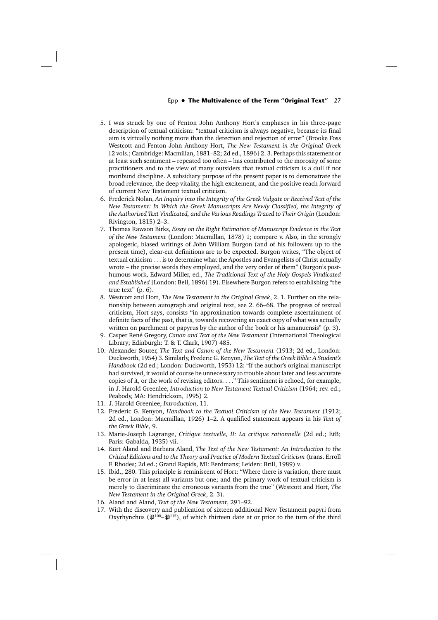- 5. I was struck by one of Fenton John Anthony Hort's emphases in his three-page description of textual criticism: "textual criticism is always negative, because its final aim is virtually nothing more than the detection and rejection of error" (Brooke Foss Westcott and Fenton John Anthony Hort, *The New Testament in the Original Greek* [2 vols.; Cambridge: Macmillan, 1881–82; 2d ed., 1896] 2. 3. Perhaps this statement or at least such sentiment – repeated too often – has contributed to the morosity of some practitioners and to the view of many outsiders that textual criticism is a dull if not moribund discipline. A subsidiary purpose of the present paper is to demonstrate the broad relevance, the deep vitality, the high excitement, and the positive reach forward of current New Testament textual criticism.
- 6. Frederick Nolan, *An Inquiry into the Integrity of the Greek Vulgate or Received Text of the New Testament: In Which the Greek Manuscripts Are Newly Classified, the Integrity of the Authorised Text Vindicated, and the Various Readings Traced to Their Origin* (London: Rivington, 1815) 2–3.
- 7. Thomas Rawson Birks, *Essay on the Right Estimation of Manuscript Evidence in the Text of the New Testament* (London: Macmillan, 1878) 1; compare v. Also, in the strongly apologetic, biased writings of John William Burgon (and of his followers up to the present time), clear-cut definitions are to be expected. Burgon writes, "The object of textual criticism . . . is to determine what the Apostles and Evangelists of Christ actually wrote – the precise words they employed, and the very order of them" (Burgon's posthumous work, Edward Miller, ed., *The Traditional Text of the Holy Gospels Vindicated and Established* [London: Bell, 1896] 19). Elsewhere Burgon refers to establishing "the true text"  $(p. 6)$ .
- 8. Westcott and Hort, *The New Testament in the Original Greek*, 2. 1. Further on the relationship between autograph and original text, see 2. 66–68. The progress of textual criticism, Hort says, consists "in approximation towards complete ascertainment of definite facts of the past, that is, towards recovering an exact copy of what was actually written on parchment or papyrus by the author of the book or his amanuensis" (p. 3).
- 9. Casper René Gregory, *Canon and Text of the New Testament* (International Theological Library; Edinburgh: T. & T. Clark, 1907) 485.
- 10. Alexander Souter, *The Text and Canon of the New Testament* (1913; 2d ed., London: Duckworth, 1954) 3. Similarly, Frederic G. Kenyon, *The Text of the Greek Bible: A Student's Handbook* (2d ed.; London: Duckworth, 1953) 12: "If the author's original manuscript had survived, it would of course be unnecessary to trouble about later and less accurate copies of it, or the work of revising editors. . . ." This sentiment is echoed, for example, in J. Harold Greenlee, *Introduction to New Testament Textual Criticism* (1964; rev. ed.; Peabody, MA: Hendrickson, 1995) 2.
- 11. J. Harold Greenlee, *Introduction*, 11.
- 12. Frederic G. Kenyon, *Handbook to the Textual Criticism of the New Testament* (1912; 2d ed., London: Macmillan, 1926) 1–2. A qualified statement appears in his *Text of the Greek Bible*, 9.
- 13. Marie-Joseph Lagrange, *Critique textuelle, II: La critique rationnelle* (2d ed.; EtB; Paris: Gabalda, 1935) vii.
- 14. Kurt Aland and Barbara Aland, *The Text of the New Testament: An Introduction to the Critical Editions and to the Theory and Practice of Modern Textual Criticism* (trans. Erroll F. Rhodes; 2d ed.; Grand Rapids, MI: Eerdmans; Leiden: Brill, 1989) v.
- 15. Ibid., 280. This principle is reminiscent of Hort: "Where there is variation, there must be error in at least all variants but one; and the primary work of textual criticism is merely to discriminate the erroneous variants from the true" (Westcott and Hort, *The New Testament in the Original Greek*, 2. 3).
- 16. Aland and Aland, *Text of the New Testament*, 291–92.
- 17. With the discovery and publication of sixteen additional New Testament papyri from Oxyrhynchus ( $\mathfrak{P}^{100-} \mathfrak{P}^{115}$ ), of which thirteen date at or prior to the turn of the third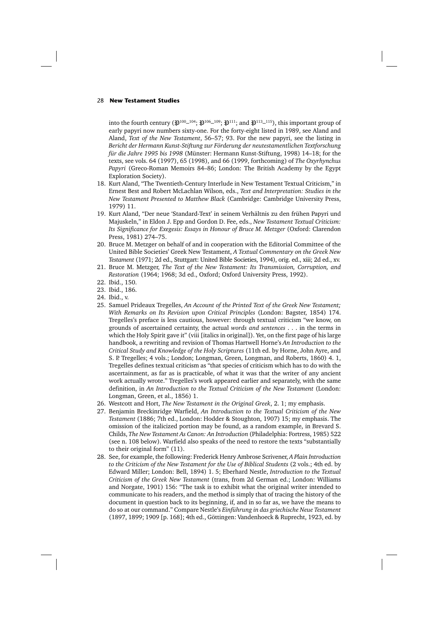into the fourth century ( $\mathfrak{P}^{100}$ – $^{104}$ ;  $\mathfrak{P}^{106}$ – $^{109}$ ;  $\mathfrak{P}^{111}$ ; and  $\mathfrak{P}^{113}$ – $^{115}$ ), this important group of early papyri now numbers sixty-one. For the forty-eight listed in 1989, see Aland and Aland, *Text of the New Testament*, 56–57; 93. For the new papyri, see the listing in *Bericht der Hermann Kunst-Stiftung zur Förderung der neutestamentlichen Textforschung für die Jahre 1995 bis 1998* (Münster: Hermann Kunst-Stiftung, 1998) 14–18; for the texts, see vols. 64 (1997), 65 (1998), and 66 (1999, forthcoming) of *The Oxyrhynchus Papyri* (Greco-Roman Memoirs 84–86; London: The British Academy by the Egypt Exploration Society).

- 18. Kurt Aland, "The Twentieth-Century Interlude in New Testament Textual Criticism," in Ernest Best and Robert McLachlan Wilson, eds., *Text and Interpretation: Studies in the New Testament Presented to Matthew Black* (Cambridge: Cambridge University Press, 1979) 11.
- 19. Kurt Aland, "Der neue 'Standard-Text' in seinem Verhältnis zu den frühen Papyri und Majuskeln," in Eldon J. Epp and Gordon D. Fee, eds., *New Testament Textual Criticism: Its Significance for Exegesis: Essays in Honour of Bruce M. Metzger* (Oxford: Clarendon Press, 1981) 274–75.
- 20. Bruce M. Metzger on behalf of and in cooperation with the Editorial Committee of the United Bible Societies' Greek New Testament, *A Textual Commentary on the Greek New Testament* (1971; 2d ed., Stuttgart: United Bible Societies, 1994), orig. ed., xiii; 2d ed., xv.
- 21. Bruce M. Metzger, *The Text of the New Testament: Its Transmission, Corruption, and Restoration* (1964; 1968; 3d ed., Oxford; Oxford University Press, 1992).
- 22. Ibid., 150.
- 23. Ibid., 186.
- 24. Ibid., v.
- 25. Samuel Prideaux Tregelles, *An Account of the Printed Text of the Greek New Testament; With Remarks on Its Revision upon Critical Principles* (London: Bagster, 1854) 174. Tregelles's preface is less cautious, however: through textual criticism "we know, on grounds of ascertained certainty, the actual *words and sentences* . . . in the terms in which the Holy Spirit gave it" (viii [italics in original]). Yet, on the first page of his large handbook, a rewriting and revision of Thomas Hartwell Horne's *An Introduction to the Critical Study and Knowledge of the Holy Scriptures* (11th ed. by Horne, John Ayre, and S. P. Tregelles; 4 vols.; London; Longman, Green, Longman, and Roberts, 1860) 4. 1, Tregelles defines textual criticism as "that species of criticism which has to do with the ascertainment, as far as is practicable, of what it was that the writer of any ancient work actually wrote." Tregelles's work appeared earlier and separately, with the same definition, in *An Introduction to the Textual Criticism of the New Testament* (London: Longman, Green, et al., 1856) 1.
- 26. Westcott and Hort, *The New Testament in the Original Greek*, 2. 1; my emphasis.
- 27. Benjamin Breckinridge Warfield, *An Introduction to the Textual Criticism of the New Testament* (1886; 7th ed., London: Hodder & Stoughton, 1907) 15; my emphasis. The omission of the italicized portion may be found, as a random example, in Brevard S. Childs, *The New Testament As Canon: An Introduction* (Philadelphia: Fortress, 1985) 522 (see n. 108 below). Warfield also speaks of the need to restore the texts "substantially to their original form" (11).
- 28. See, for example, the following: Frederick Henry Ambrose Scrivener, *A Plain Introduction to the Criticism of the New Testament for the Use of Biblical Students* (2 vols.; 4th ed. by Edward Miller; London: Bell, 1894) 1. 5; Eberhard Nestle, *Introduction to the Textual Criticism of the Greek New Testament* (trans, from 2d German ed.; London: Williams and Norgate, 1901) 156: "The task is to exhibit what the original writer intended to communicate to his readers, and the method is simply that of tracing the history of the document in question back to its beginning, if, and in so far as, we have the means to do so at our command." Compare Nestle's *Einführung in das griechische Neue Testament* (1897, 1899; 1909 [p. 168]; 4th ed., Göttingen: Vandenhoeck & Ruprecht, 1923, ed. by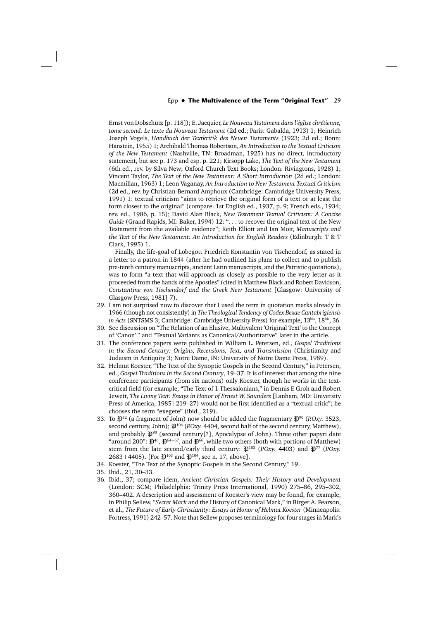Ernst von Dobschütz [p. 118]); E. Jacquier, *Le Nouveau Testament dans l'église chrétienne, tome second: Le texte du Nouveau Testament* (2d ed.; Paris: Gabalda, 1913) 1; Heinrich Joseph Vogels, *Handbuch der Textkritik des Neuen Testaments* (1923; 2d ed.; Bonn: Hanstein, 1955) 1; Archibald Thomas Robertson, *An Introduction to the Textual Criticism of the New Testament* (Nashville, TN: Broadman, 1925) has no direct, introductory statement, but see p. 173 and esp. p. 221; Kirsopp Lake, *The Text of the New Testament* (6th ed., rev. by Silva New; Oxford Church Text Books; London: Rivingtons, 1928) 1; Vincent Taylor, *The Text of the New Testament: A Short Introduction* (2d ed.; London: Macmillan, 1963) 1; Leon Vaganay, *An Introduction to New Testament Textual Criticism* (2d ed., rev. by Christian-Bernard Amphoux (Cambridge: Cambridge University Press, 1991) 1: textual criticism "aims to retrieve the original form of a text or at least the form closest to the original" (compare. 1st English ed., 1937, p. 9; French eds., 1934; rev. ed., 1986, p. 15); David Alan Black, *New Testament Textual Criticism: A Concise Guide* (Grand Rapids, MI: Baker, 1994) 12: ". . . to recover the original text of the New Testament from the available evidence"; Keith Elliott and Ian Moir, *Manuscripts and the Text of the New Testament: An Introduction for English Readers* (Edinburgh: T & T Clark, 1995) 1.

 Finally, the life-goal of Lobegott Friedrich Konstantin von Tischendorf, as stated in a letter to a patron in 1844 (after he had outlined his plans to collect and to publish pre-tenth century manuscripts, ancient Latin manuscripts, and the Patristic quotations), was to form "a text that will approach as closely as possible to the very letter as it proceeded from the hands of the Apostles" (cited in Matthew Black and Robert Davidson, *Constantine von Tischendorf and the Greek New Testament* [Glasgow: University of Glasgow Press, 1981] 7).

- 29. I am not surprised now to discover that I used the term in quotation marks already in 1966 (though not consistently) in *The Theological Tendency of Codex Bezae Cantabrigiensis in Acts* (SNTSMS 3; Cambridge: Cambridge University Press) for example,  $13^{\text{bis}}$ ,  $18^{\text{bis}}$ , 36.
- 30. See discussion on "The Relation of an Elusive, Multivalent 'Original Text' to the Concept of 'Canon' " and "Textual Variants as Canonical/Authoritative" later in the article.
- 31. The conference papers were published in William L. Petersen, ed., *Gospel Traditions in the Second Century: Origins, Recensions, Text, and Transmission* (Christianity and Judaism in Antiquity 3; Notre Dame, IN: University of Notre Dame Press, 1989).
- 32. Helmut Koester, "The Text of the Synoptic Gospels in the Second Century," in Petersen, ed., *Gospel Traditions in the Second Century*, 19–37. It is of interest that among the nine conference participants (from six nations) only Koester, though he works in the textcritical field (for example, "The Text of 1 Thessalonians," in Dennis E Groh and Robert Jewett, *The Living Text: Essays in Honor of Ernest W. Saunders* [Lanham, MD: University Press of America, 1985] 219–27) would not be first identified as a "textual critic"; he chooses the term "exegete" (ibid., 219).
- 33. To  $\mathfrak{P}^{52}$  (a fragment of John) now should be added the fragmentary  $\mathfrak{P}^{90}$  (*P.Oxy.* 3523, second century, John);  $\mathfrak{P}^{104}$  (*P.Oxy.* 4404, second half of the second century, Matthew), and probably  $\mathbb{P}^{98}$  (second century[?], Apocalypse of John). Three other papyri date "around 200":  $\mathbb{R}^{46}$ ,  $\mathbb{R}^{64+67}$ , and  $\mathbb{R}^{66}$ , while two others (both with portions of Matthew) stem from the late second/early third century:  $\mathbb{P}^{103}$  (*POxy.* 4403) and  $\mathbb{P}^{77}$  (*POxy.* 2683+4405). [For  $\mathbb{R}^{103}$  and  $\mathbb{R}^{104}$ , see n. 17, above].
- 34. Koester, "The Text of the Synoptic Gospels in the Second Century," 19.
- 35. Ibid., 21, 30–33.
- 36. Ibid., 37; compare idem, *Ancient Christian Gospels: Their History and Development* (London: SCM; Philadelphia: Trinity Press International, 1990) 275–86, 295–302, 360–402. A description and assessment of Koester's view may be found, for example, in Philip Sellew, "*Secret Mark* and the History of Canonical Mark," in Birger A. Pearson, et al., *The Future of Early Christianity: Essays in Honor of Helmut Koester* (Minneapolis: Fortress, 1991) 242–57. Note that Sellew proposes terminology for four stages in Mark's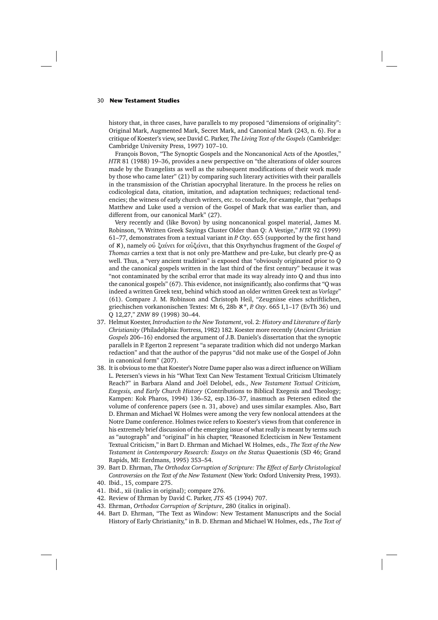history that, in three cases, have parallels to my proposed "dimensions of originality": Original Mark, Augmented Mark, Secret Mark, and Canonical Mark (243, n. 6). For a critique of Koester's view, see David C. Parker, *The Living Text of the Gospels* (Cambridge: Cambridge University Press, 1997) 107–10.

 François Bovon, "The Synoptic Gospels and the Noncanonical Acts of the Apostles," *HTR* 81 (1988) 19–36, provides a new perspective on "the alterations of older sources made by the Evangelists as well as the subsequent modifications of their work made by those who came later" (21) by comparing such literary activities with their parallels in the transmission of the Christian apocryphal literature. In the process he relies on codicological data, citation, imitation, and adaptation techniques; redactional tendencies; the witness of early church writers, etc. to conclude, for example, that "perhaps Matthew and Luke used a version of the Gospel of Mark that was earlier than, and different from, our canonical Mark" (27).

 Very recently and (like Bovon) by using noncanonical gospel material, James M. Robinson, "A Written Greek Sayings Cluster Older than Q: A Vestige," *HTR* 92 (1999) 61–77, demonstrates from a textual variant in *P. Oxy*. 655 (supported by the first hand of **κ**), namely ού ξαίνει for αὐξάνει, that this Oxyrhynchus fragment of the *Gospel of Thomas* carries a text that is not only pre-Matthew and pre-Luke, but clearly pre-Q as well. Thus, a "very ancient tradition" is exposed that "obviously originated prior to Q and the canonical gospels written in the last third of the first century" because it was "not contaminated by the scribal error that made its way already into Q and thus into the canonical gospels" (67). This evidence, not insignificantly, also confirms that "Q was indeed a written Greek text, behind which stood an older written Greek text as *Vorlage*" (61). Compare J. M. Robinson and Christoph Heil, "Zeugnisse eines schriftlichen, griechischen vorkanonischen Textes: Mt 6, 28b  $\mathcal{R}^*$ , P. Oxy. 665 I, 1-17 (EvTh 36) und Q 12,27," *ZNW* 89 (1998) 30–44.

- 37. Helmut Koester, *Introduction to the New Testament*, vol. 2: *History and Literature of Early Christianity* (Philadelphia: Fortress, 1982) 182. Koester more recently (*Ancient Christian Gospels* 206–16) endorsed the argument of J.B. Daniels's dissertation that the synoptic parallels in P. Egerton 2 represent "a separate tradition which did not undergo Markan redaction" and that the author of the papyrus "did not make use of the Gospel of John in canonical form" (207).
- 38. It is obvious to me that Koester's Notre Dame paper also was a direct influence on William L. Petersen's views in his "What Text Can New Testament Textual Criticism Ultimately Reach?" in Barbara Aland and Joël Delobel, eds., *New Testament Textual Criticism, Exegesis, and Early Church History* (Contributions to Biblical Exegesis and Theology; Kampen: Kok Pharos, 1994) 136–52, esp.136–37, inasmuch as Petersen edited the volume of conference papers (see n. 31, above) and uses similar examples. Also, Bart D. Ehrman and Michael W. Holmes were among the very few nonlocal attendees at the Notre Dame conference. Holmes twice refers to Koester's views from that conference in his extremely brief discussion of the emerging issue of what really is meant by terms such as "autograph" and "original" in his chapter, "Reasoned Eclecticism in New Testament Textual Criticism," in Bart D. Ehrman and Michael W. Holmes, eds., *The Text of the New Testament in Contemporary Research: Essays on the Status* Quaestionis (SD 46; Grand Rapids, MI: Eerdmans, 1995) 353–54.
- 39. Bart D. Ehrman, *The Orthodox Corruption of Scripture: The Effect of Early Christological Controversies on the Text of the New Testament* (New York: Oxford University Press, 1993).
- 40. Ibid., 15, compare 275.
- 41. Ibid., xii (italics in original); compare 276.
- 42. Review of Ehrman by David C. Parker, *JTS* 45 (1994) 707.
- 43. Ehrman, *Orthodox Corruption of Scripture*, 280 (italics in original).
- 44. Bart D. Ehrman, "The Text as Window: New Testament Manuscripts and the Social History of Early Christianity," in B. D. Ehrman and Michael W. Holmes, eds., *The Text of*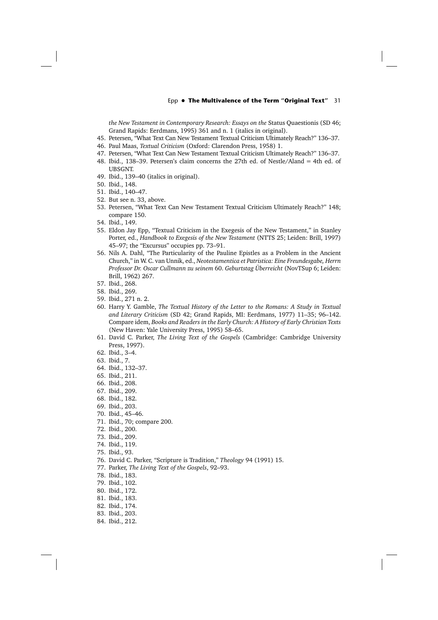*the New Testament in Contemporary Research: Essays on the* Status Quaestionis (SD 46; Grand Rapids: Eerdmans, 1995) 361 and n. 1 (italics in original).

- 45. Petersen, "What Text Can New Testament Textual Criticism Ultimately Reach?" 136–37.
- 46. Paul Maas, *Textual Criticism* (Oxford: Clarendon Press, 1958) 1.
- 47. Petersen, "What Text Can New Testament Textual Criticism Ultimately Reach?" 136–37.
- 48. Ibid., 138–39. Petersen's claim concerns the 27th ed. of Nestle/Aland = 4th ed. of UBSGNT.
- 49. Ibid., 139–40 (italics in original).
- 50. Ibid., 148.
- 51. Ibid., 140–47.
- 52. But see n. 33, above.
- 53. Petersen, "What Text Can New Testament Textual Criticism Ultimately Reach?" 148; compare 150.
- 54. Ibid., 149.
- 55. Eldon Jay Epp, "Textual Criticism in the Exegesis of the New Testament," in Stanley Porter, ed., *Handbook to Exegesis of the New Testament* (NTTS 25; Leiden: Brill, 1997) 45–97; the "Excursus" occupies pp. 73–91.
- 56. Nils A. Dahl, "The Particularity of the Pauline Epistles as a Problem in the Ancient Church," in W. C. van Unnik, ed., *Neotestamentica et Patristica: Eine Freundesgabe, Herrn Professor Dr. Oscar Cullmann zu seinem* 60. *Geburtstag Überreicht* (NovTSup 6; Leiden: Brill, 1962) 267.
- 57. Ibid., 268.
- 58. Ibid., 269.
- 59. Ibid., 271 n. 2.
- 60. Harry Y. Gamble, *The Textual History of the Letter to the Romans: A Study in Textual and Literary Criticism* (SD 42; Grand Rapids, MI: Eerdmans, 1977) 11–35; 96–142. Compare idem, *Books and Readers in the Early Church: A History of Early Christian Texts* (New Haven: Yale University Press, 1995) 58–65.
- 61. David C. Parker, *The Living Text of the Gospels* (Cambridge: Cambridge University Press, 1997).
- 62. Ibid., 3–4.
- 63. Ibid., 7.
- 64. Ibid., 132–37.
- 65. Ibid., 211.
- 66. Ibid., 208.
- 67. Ibid., 209.
- 68. Ibid., 182.
- 69. Ibid., 203.
- 70. Ibid., 45–46.
- 71. Ibid., 70; compare 200.
- 72. Ibid., 200.
- 73. Ibid., 209.
- 74. Ibid., 119.
- 75. Ibid., 93.
- 76. David C. Parker, "Scripture is Tradition," *Theology* 94 (1991) 15.
- 77. Parker, *The Living Text of the Gospels*, 92–93.
- 78. Ibid., 183.
- 79. Ibid., 102.
- 80. Ibid., 172.
- 81. Ibid., 183.
- 82. Ibid., 174.
- 83. Ibid., 203.
- 84. Ibid., 212.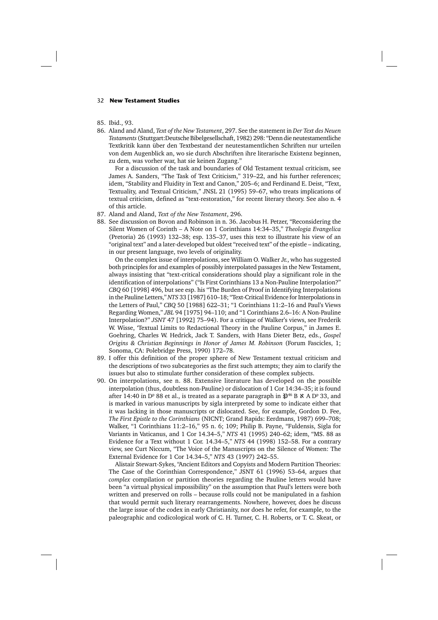### 85. Ibid., 93.

86. Aland and Aland, *Text of the New Testament*, 297. See the statement in *Der Text des Neuen Testaments* (Stuttgart:Deutsche Bibelgesellschaft, 1982) 298: "Denn die neutestamentliche Textkritik kann über den Textbestand der neutestamentlichen Schriften nur urteilen von dem Augenblick an, wo sie durch Abschriften ihre literarische Existenz beginnen, zu dem, was vorher war, hat sie keinen Zugang."

 For a discussion of the task and boundaries of Old Testament textual criticism, see James A. Sanders, "The Task of Text Criticism," 319–22, and his further references; idem, "Stability and Fluidity in Text and Canon," 205–6; and Ferdinand E. Deist, "Text, Textuality, and Textual Criticism," JNSL 21 (1995) 59–67, who treats implications of textual criticism, defined as "text-restoration," for recent literary theory. See also n. 4 of this article.

- 87. Aland and Aland, *Text of the New Testament*, 296.
- 88. See discussion on Bovon and Robinson in n. 36. Jacobus H. Petzer, "Reconsidering the Silent Women of Corinth – A Note on 1 Corinthians 14:34–35," *Theologia Evangelica* (Pretoria) 26 (1993) 132–38; esp. 135–37, uses this text to illustrate his view of an "original text" and a later-developed but oldest "received text" of the epistle – indicating, in our present language, two levels of originality.

 On the complex issue of interpolations, see William O. Walker Jr., who has suggested both principles for and examples of possibly interpolated passages in the New Testament, always insisting that "text-critical considerations should play a significant role in the identification of interpolations" ("Is First Corinthians 13 a Non-Pauline Interpolation?" *CBQ* 60 [1998] 496, but see esp. his "The Burden of Proof in Identifying Interpolations in the Pauline Letters," *NTS* 33 [1987] 610–18; "Text-Critical Evidence for Interpolations in the Letters of Paul," *CBQ* 50 [1988] 622–31; "1 Corinthians 11:2–16 and Paul's Views Regarding Women," *JBL* 94 [1975] 94–110; and "1 Corinthians 2.6–16: A Non-Pauline Interpolation?" *JSNT* 47 [1992] 75–94). For a critique of Walker's views, see Frederik W. Wisse, 'Textual Limits to Redactional Theory in the Pauline Corpus," in James E. Goehring, Charles W. Hedrick, Jack T. Sanders, with Hans Dieter Betz, eds., *Gospel Origins & Christian Beginnings in Honor of James M. Robinson* (Forum Fascicles, 1; Sonoma, CA: Polebridge Press, 1990) 172–78.

- 89. I offer this definition of the proper sphere of New Testament textual criticism and the descriptions of two subcategories as the first such attempts; they aim to clarify the issues but also to stimulate further consideration of these complex subjects.
- 90. On interpolations, see n. 88. Extensive literature has developed on the possible interpolation (thus, doubtless non-Pauline) or dislocation of 1 Cor 14:34–35; it is found after 14:40 in DP 88 et al., is treated as a separate paragraph in  $\mathbb{A}^{46}$  B  $\mathbb{X}$  A DP 33, and is marked in various manuscripts by sigla interpreted by some to indicate either that it was lacking in those manuscripts or dislocated. See, for example, Gordon D. Fee, *The First Epistle to the Corinthians* (NICNT; Grand Rapids: Eerdmans, 1987) 699–708; Walker, "1 Corinthians 11:2–16," 95 n. 6; 109; Philip B. Payne, "Fuldensis, Sigla for Variants in Vaticanus, and 1 Cor 14.34–5," *NTS* 41 (1995) 240–62; idem, "MS. 88 as Evidence for a Text without 1 Cor. 14.34–5," *NTS* 44 (1998) 152–58. For a contrary view, see Curt Niccum, "The Voice of the Manuscripts on the Silence of Women: The External Evidence for 1 Cor 14.34–5," *NTS* 43 (1997) 242–55.

 Alistair Stewart-Sykes, "Ancient Editors and Copyists and Modern Partition Theories: The Case of the Corinthian Correspondence," JSNT 61 (1996) 53–64, argues that *complex* compilation or partition theories regarding the Pauline letters would have been "a virtual physical impossibility" on the assumption that Paul's letters were both written and preserved on rolls – because rolls could not be manipulated in a fashion that would permit such literary rearrangements. Nowhere, however, does he discuss the large issue of the codex in early Christianity, nor does he refer, for example, to the paleographic and codicological work of C. H. Turner, C. H. Roberts, or T. C. Skeat, or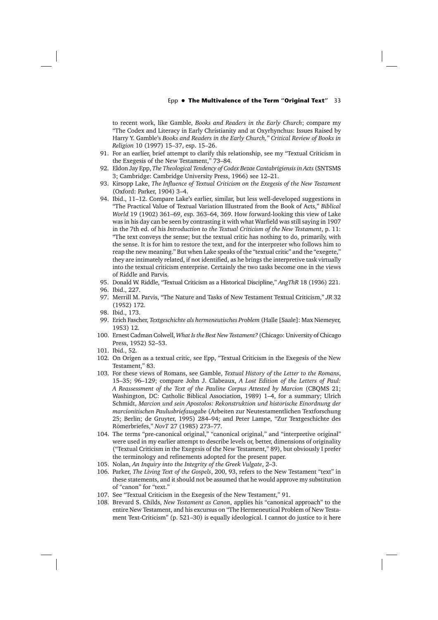to recent work, like Gamble, *Books and Readers in the Early Church*; compare my "The Codex and Literacy in Early Christianity and at Oxyrhynchus: Issues Raised by Harry Y. Gamble's *Books and Readers in the Early Church," Critical Review of Books in Religion* 10 (1997) 15–37, esp. 15–26.

- 91. For an earlier, brief attempt to clarify this relationship, see my "Textual Criticism in the Exegesis of the New Testament," 73–84.
- 92. Eldon Jay Epp, *The Theological Tendency of Codex Bezae Cantabrigiensis in Acts* (SNTSMS 3; Cambridge: Cambridge University Press, 1966) see 12–21.
- 93. Kirsopp Lake, *The Influence of Textual Criticism on the Exegesis of the New Testament* (Oxford: Parker, 1904) 3–4.
- 94. Ibid., 11–12. Compare Lake's earlier, similar, but less well-developed suggestions in "The Practical Value of Textual Variation Illustrated from the Book of Acts," *Biblical World* 19 (1902) 361–69, esp. 363–64, 369. How forward-looking this view of Lake was in his day can be seen by contrasting it with what Warfield was still saying in 1907 in the 7th ed. of his *Introduction to the Textual Criticism of the New Testament*, p. 11: "The text conveys the sense; but the textual critic has nothing to do, primarily, with the sense. It is for him to restore the text, and for the interpreter who follows him to reap the new meaning." But when Lake speaks of the "textual critic" and the "exegete," they are intimately related, if not identified, as he brings the interpretive task virtually into the textual criticism enterprise. Certainly the two tasks become one in the views of Riddle and Parvis.
- 95. Donald W. Riddle, "Textual Criticism as a Historical Discipline," *AngThR* 18 (1936) 221.
- 96. Ibid., 227.
- 97. Merrill M. Parvis, "The Nature and Tasks of New Testament Textual Criticism," *JR* 32 (1952) 172.
- 98. Ibid., 173.
- 99. Erich Fascher, *Textgeschichte als hermeneutisches Problem* (Halle [Saale]: Max Niemeyer, 1953) 12.
- 100. Ernest Cadman Colwell, *What Is the Best New Testament?* (Chicago: University of Chicago Press, 1952) 52–53.
- 101. Ibid., 52.
- 102. On Origen as a textual critic, see Epp, "Textual Criticism in the Exegesis of the New Testament," 83.
- 103. For these views of Romans, see Gamble, *Textual History of the Letter to the Romans*, 15–35; 96–129; compare John J. Clabeaux, *A Lost Edition of the Letters of Paul: A Reassessment of the Text of the Pauline Corpus Attested by Marcion* (CBQMS 21; Washington, DC: Catholic Biblical Association, 1989) 1–4, for a summary; Ulrich Schmidt, *Marcion und sein Apostolos: Rekonstruktion und historische Einordnung der marcionitischen Paulusbriefausgabe* (Arbeiten zur Neutestamentlichen Textforschung 25; Berlin; de Gruyter, 1995) 284–94; and Peter Lampe, "Zur Textgeschichte des Römerbriefes," *NovT* 27 (1985) 273–77.
- 104. The terms "pre-canonical original," "canonical original," and "interpretive original" were used in my earlier attempt to describe levels or, better, dimensions of originality ("Textual Criticism in the Exegesis of the New Testament," 89), but obviously I prefer the terminology and refinements adopted for the present paper.
- 105. Nolan, *An Inquiry into the Integrity of the Greek Vulgate*, 2–3.
- 106. Parker, *The Living Text of the Gospels*, 200, 93, refers to the New Testament "text" in these statements, and it should not be assumed that he would approve my substitution of "canon" for "text."
- 107. See "Textual Criticism in the Exegesis of the New Testament," 91.
- 108. Brevard S. Childs, *New Testament as Canon*, applies his "canonical approach" to the entire New Testament, and his excursus on "The Hermeneutical Problem of New Testament Text-Criticism" (p. 521–30) is equally ideological. I cannot do justice to it here